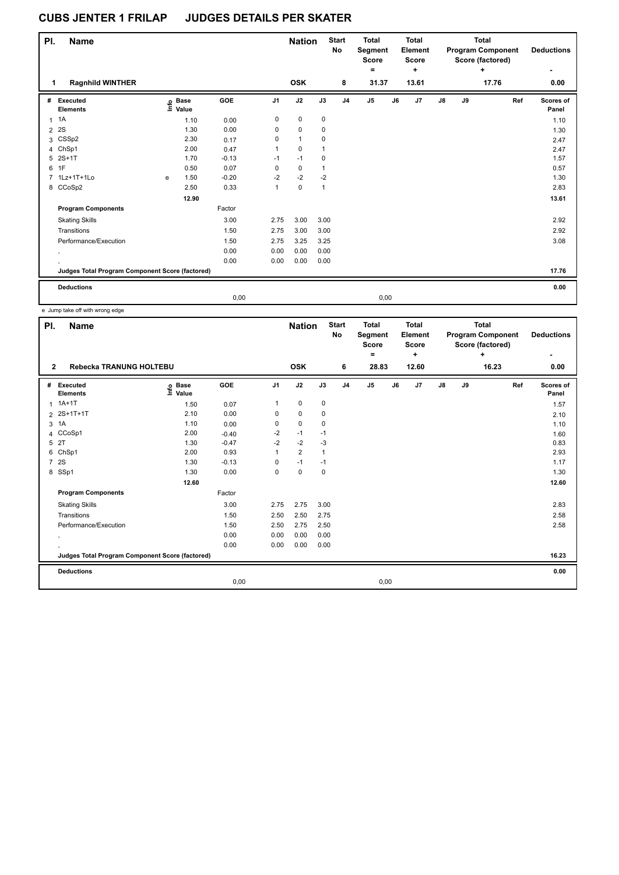| PI.            | Name                                            |   |                            |         |                | <b>Nation</b>  |              | <b>Start</b><br>No | <b>Total</b><br>Segment<br><b>Score</b><br>۰ |      | <b>Total</b><br>Element<br>Score<br>٠ |               |    | <b>Total</b><br><b>Program Component</b><br>Score (factored)<br>÷ | <b>Deductions</b>  |
|----------------|-------------------------------------------------|---|----------------------------|---------|----------------|----------------|--------------|--------------------|----------------------------------------------|------|---------------------------------------|---------------|----|-------------------------------------------------------------------|--------------------|
| 1              | <b>Ragnhild WINTHER</b>                         |   |                            |         |                | <b>OSK</b>     |              | 8                  | 31.37                                        |      | 13.61                                 |               |    | 17.76                                                             | 0.00               |
| #              | Executed<br><b>Elements</b>                     |   | e Base<br>E Value<br>Value | GOE     | J <sub>1</sub> | J2             | J3           | J <sub>4</sub>     | J <sub>5</sub>                               | J6   | J <sub>7</sub>                        | $\mathsf{J}8$ | J9 | Ref                                                               | Scores of<br>Panel |
|                | $1 \t1A$                                        |   | 1.10                       | 0.00    | 0              | $\pmb{0}$      | 0            |                    |                                              |      |                                       |               |    |                                                                   | 1.10               |
| $\overline{2}$ | 2S                                              |   | 1.30                       | 0.00    | 0              | $\mathbf 0$    | 0            |                    |                                              |      |                                       |               |    |                                                                   | 1.30               |
| 3              | CSSp2                                           |   | 2.30                       | 0.17    | 0              | $\overline{1}$ | 0            |                    |                                              |      |                                       |               |    |                                                                   | 2.47               |
|                | 4 ChSp1                                         |   | 2.00                       | 0.47    | 1              | $\pmb{0}$      | 1            |                    |                                              |      |                                       |               |    |                                                                   | 2.47               |
|                | 5 2S+1T                                         |   | 1.70                       | $-0.13$ | $-1$           | $-1$           | $\mathbf 0$  |                    |                                              |      |                                       |               |    |                                                                   | 1.57               |
| 6              | 1F                                              |   | 0.50                       | 0.07    | 0              | $\pmb{0}$      | 1            |                    |                                              |      |                                       |               |    |                                                                   | 0.57               |
|                | 7 1Lz+1T+1Lo                                    | e | 1.50                       | $-0.20$ | $-2$           | $-2$           | $-2$         |                    |                                              |      |                                       |               |    |                                                                   | 1.30               |
|                | 8 CCoSp2                                        |   | 2.50                       | 0.33    | 1              | $\pmb{0}$      | $\mathbf{1}$ |                    |                                              |      |                                       |               |    |                                                                   | 2.83               |
|                |                                                 |   | 12.90                      |         |                |                |              |                    |                                              |      |                                       |               |    |                                                                   | 13.61              |
|                | <b>Program Components</b>                       |   |                            | Factor  |                |                |              |                    |                                              |      |                                       |               |    |                                                                   |                    |
|                | <b>Skating Skills</b>                           |   |                            | 3.00    | 2.75           | 3.00           | 3.00         |                    |                                              |      |                                       |               |    |                                                                   | 2.92               |
|                | Transitions                                     |   |                            | 1.50    | 2.75           | 3.00           | 3.00         |                    |                                              |      |                                       |               |    |                                                                   | 2.92               |
|                | Performance/Execution                           |   |                            | 1.50    | 2.75           | 3.25           | 3.25         |                    |                                              |      |                                       |               |    |                                                                   | 3.08               |
|                | $\cdot$                                         |   |                            | 0.00    | 0.00           | 0.00           | 0.00         |                    |                                              |      |                                       |               |    |                                                                   |                    |
|                |                                                 |   |                            | 0.00    | 0.00           | 0.00           | 0.00         |                    |                                              |      |                                       |               |    |                                                                   |                    |
|                | Judges Total Program Component Score (factored) |   |                            |         |                |                |              |                    |                                              |      |                                       |               |    |                                                                   | 17.76              |
|                | <b>Deductions</b>                               |   |                            |         |                |                |              |                    |                                              |      |                                       |               |    |                                                                   | 0.00               |
|                |                                                 |   |                            | 0,00    |                |                |              |                    |                                              | 0,00 |                                       |               |    |                                                                   |                    |

| PI.            | <b>Name</b>                                     |                                  |         |                | <b>Nation</b>  |                | <b>Start</b><br>No | <b>Total</b><br>Segment<br>Score<br>$\equiv$ |    | <b>Total</b><br>Element<br><b>Score</b><br>÷ |               |    | <b>Total</b><br><b>Program Component</b><br>Score (factored)<br>÷ | <b>Deductions</b>  |
|----------------|-------------------------------------------------|----------------------------------|---------|----------------|----------------|----------------|--------------------|----------------------------------------------|----|----------------------------------------------|---------------|----|-------------------------------------------------------------------|--------------------|
| $\mathbf{2}$   | Rebecka TRANUNG HOLTEBU                         |                                  |         |                | <b>OSK</b>     |                | 6                  | 28.83                                        |    | 12.60                                        |               |    | 16.23                                                             | 0.00               |
| #              | Executed<br><b>Elements</b>                     | <b>Base</b><br>e Base<br>⊑ Value | GOE     | J <sub>1</sub> | J2             | J3             | J <sub>4</sub>     | J <sub>5</sub>                               | J6 | J7                                           | $\mathsf{J}8$ | J9 | Ref                                                               | Scores of<br>Panel |
| 1              | $1A+1T$                                         | 1.50                             | 0.07    | 1              | $\pmb{0}$      | $\mathbf 0$    |                    |                                              |    |                                              |               |    |                                                                   | 1.57               |
|                | 2 2S+1T+1T                                      | 2.10                             | 0.00    | 0              | 0              | 0              |                    |                                              |    |                                              |               |    |                                                                   | 2.10               |
| 3              | 1A                                              | 1.10                             | 0.00    | 0              | $\mathbf 0$    | $\mathbf 0$    |                    |                                              |    |                                              |               |    |                                                                   | 1.10               |
| 4              | CCoSp1                                          | 2.00                             | $-0.40$ | $-2$           | $-1$           | $-1$           |                    |                                              |    |                                              |               |    |                                                                   | 1.60               |
|                | 5 2T                                            | 1.30                             | $-0.47$ | $-2$           | $-2$           | $-3$           |                    |                                              |    |                                              |               |    |                                                                   | 0.83               |
|                | 6 ChSp1                                         | 2.00                             | 0.93    | 1              | $\overline{2}$ | $\overline{1}$ |                    |                                              |    |                                              |               |    |                                                                   | 2.93               |
| $\overline{7}$ | 2S                                              | 1.30                             | $-0.13$ | 0              | $-1$           | $-1$           |                    |                                              |    |                                              |               |    |                                                                   | 1.17               |
|                | 8 SSp1                                          | 1.30                             | 0.00    | 0              | $\mathbf 0$    | 0              |                    |                                              |    |                                              |               |    |                                                                   | 1.30               |
|                |                                                 | 12.60                            |         |                |                |                |                    |                                              |    |                                              |               |    |                                                                   | 12.60              |
|                | <b>Program Components</b>                       |                                  | Factor  |                |                |                |                    |                                              |    |                                              |               |    |                                                                   |                    |
|                | <b>Skating Skills</b>                           |                                  | 3.00    | 2.75           | 2.75           | 3.00           |                    |                                              |    |                                              |               |    |                                                                   | 2.83               |
|                | Transitions                                     |                                  | 1.50    | 2.50           | 2.50           | 2.75           |                    |                                              |    |                                              |               |    |                                                                   | 2.58               |
|                | Performance/Execution                           |                                  | 1.50    | 2.50           | 2.75           | 2.50           |                    |                                              |    |                                              |               |    |                                                                   | 2.58               |
|                | $\cdot$                                         |                                  | 0.00    | 0.00           | 0.00           | 0.00           |                    |                                              |    |                                              |               |    |                                                                   |                    |
|                |                                                 |                                  | 0.00    | 0.00           | 0.00           | 0.00           |                    |                                              |    |                                              |               |    |                                                                   |                    |
|                | Judges Total Program Component Score (factored) |                                  |         |                |                |                |                    |                                              |    |                                              |               |    |                                                                   | 16.23              |
|                | <b>Deductions</b>                               |                                  |         |                |                |                |                    |                                              |    |                                              |               |    |                                                                   | 0.00               |
|                |                                                 |                                  | 0,00    |                |                |                |                    | 0,00                                         |    |                                              |               |    |                                                                   |                    |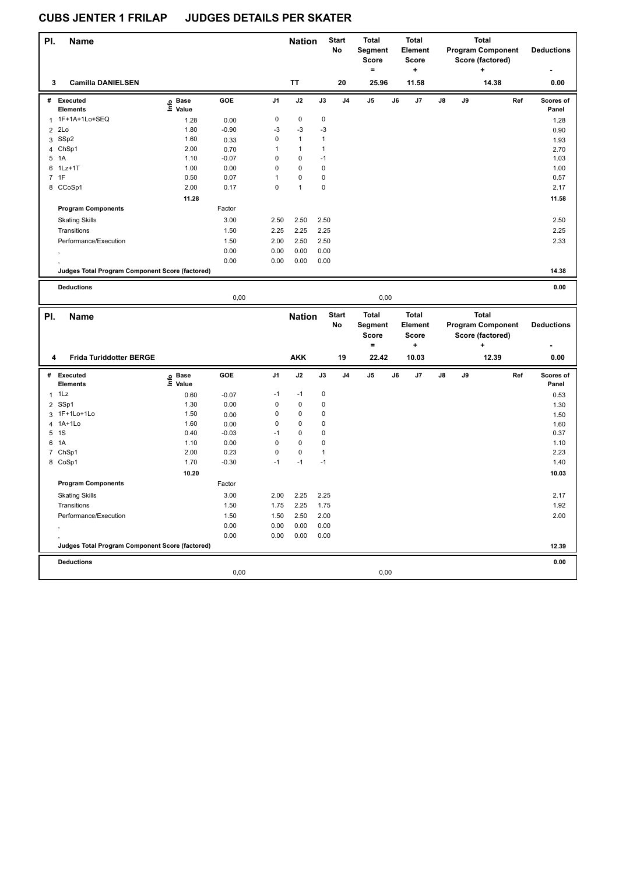| PI.            | <b>Name</b>                                     |                   |                 |              | <b>Nation</b> |              | <b>Start</b><br><b>No</b> | <b>Total</b><br>Segment<br><b>Score</b> |    | <b>Total</b><br><b>Element</b> |    |    | <b>Total</b><br><b>Program Component</b> |     | <b>Deductions</b>  |
|----------------|-------------------------------------------------|-------------------|-----------------|--------------|---------------|--------------|---------------------------|-----------------------------------------|----|--------------------------------|----|----|------------------------------------------|-----|--------------------|
|                |                                                 |                   |                 |              |               |              |                           | $\qquad \qquad =$                       |    | <b>Score</b><br>$\ddot{}$      |    |    | Score (factored)                         |     |                    |
| 3              | <b>Camilla DANIELSEN</b>                        |                   |                 |              | <b>TT</b>     |              | 20                        | 25.96                                   |    | 11.58                          |    |    | 14.38                                    |     | 0.00               |
| #              | <b>Executed</b><br><b>Elements</b>              | e Base<br>E Value | GOE             | J1           | J2            | J3           | J4                        | J5                                      | J6 | J7                             | J8 | J9 |                                          | Ref | Scores of<br>Panel |
|                | 1 1F+1A+1Lo+SEQ                                 | 1.28              | 0.00            | $\pmb{0}$    | $\pmb{0}$     | 0            |                           |                                         |    |                                |    |    |                                          |     | 1.28               |
| $\overline{2}$ | 2Lo                                             | 1.80              | $-0.90$         | -3           | $-3$          | $-3$         |                           |                                         |    |                                |    |    |                                          |     | 0.90               |
|                | 3 SSp2                                          | 1.60              | 0.33            | $\mathbf 0$  | $\mathbf{1}$  | $\mathbf{1}$ |                           |                                         |    |                                |    |    |                                          |     | 1.93               |
|                | 4 ChSp1                                         | 2.00              | 0.70            | $\mathbf{1}$ | $\mathbf{1}$  | $\mathbf{1}$ |                           |                                         |    |                                |    |    |                                          |     | 2.70               |
|                | 5 1A                                            | 1.10              | $-0.07$         | 0            | $\pmb{0}$     | $-1$         |                           |                                         |    |                                |    |    |                                          |     | 1.03               |
| 6              | $1$ Lz $+1$ T                                   | 1.00              | 0.00            | $\mathbf 0$  | $\pmb{0}$     | 0            |                           |                                         |    |                                |    |    |                                          |     | 1.00               |
|                | 7 1F                                            | 0.50              | 0.07            | $\mathbf{1}$ | $\pmb{0}$     | 0            |                           |                                         |    |                                |    |    |                                          |     | 0.57               |
|                | 8 CCoSp1                                        | 2.00              | 0.17            | $\mathbf 0$  | $\mathbf{1}$  | $\pmb{0}$    |                           |                                         |    |                                |    |    |                                          |     | 2.17               |
|                |                                                 | 11.28             |                 |              |               |              |                           |                                         |    |                                |    |    |                                          |     | 11.58              |
|                | <b>Program Components</b>                       |                   | Factor          |              |               |              |                           |                                         |    |                                |    |    |                                          |     |                    |
|                | <b>Skating Skills</b>                           |                   | 3.00            | 2.50         | 2.50          | 2.50         |                           |                                         |    |                                |    |    |                                          |     | 2.50               |
|                | Transitions                                     |                   | 1.50            | 2.25         | 2.25          | 2.25         |                           |                                         |    |                                |    |    |                                          |     | 2.25               |
|                |                                                 |                   |                 |              |               |              |                           |                                         |    |                                |    |    |                                          |     |                    |
|                | Performance/Execution                           |                   | 1.50            | 2.00         | 2.50          | 2.50         |                           |                                         |    |                                |    |    |                                          |     | 2.33               |
|                |                                                 |                   | 0.00            | 0.00         | 0.00          | 0.00         |                           |                                         |    |                                |    |    |                                          |     |                    |
|                |                                                 |                   | 0.00            | 0.00         | 0.00          | 0.00         |                           |                                         |    |                                |    |    |                                          |     |                    |
|                | Judges Total Program Component Score (factored) |                   |                 |              |               |              |                           |                                         |    |                                |    |    |                                          |     | 14.38              |
|                | <b>Deductions</b>                               |                   |                 |              |               |              |                           |                                         |    |                                |    |    |                                          |     | 0.00               |
|                |                                                 |                   | 0,00            |              |               |              |                           | 0,00                                    |    |                                |    |    |                                          |     |                    |
|                |                                                 |                   |                 |              |               |              |                           |                                         |    |                                |    |    |                                          |     |                    |
|                |                                                 |                   |                 |              |               |              |                           |                                         |    |                                |    |    |                                          |     |                    |
| PI.            | <b>Name</b>                                     |                   |                 |              | <b>Nation</b> |              | <b>Start</b>              | <b>Total</b>                            |    | <b>Total</b>                   |    |    | Total                                    |     |                    |
|                |                                                 |                   |                 |              |               |              | No                        | Segment                                 |    | Element                        |    |    | <b>Program Component</b>                 |     | <b>Deductions</b>  |
|                |                                                 |                   |                 |              |               |              |                           | <b>Score</b>                            |    | <b>Score</b>                   |    |    | Score (factored)                         |     |                    |
|                |                                                 |                   |                 |              |               |              |                           | $\qquad \qquad =$                       |    | ٠                              |    |    |                                          |     |                    |
| 4              | <b>Frida Turiddotter BERGE</b>                  |                   |                 |              | <b>AKK</b>    |              | 19                        | 22.42                                   |    | 10.03                          |    |    | 12.39                                    |     | 0.00               |
|                | # Executed<br><b>Elements</b>                   | e Base<br>⊑ Value | GOE             | J1           | J2            | J3           | J4                        | J5                                      | J6 | J7                             | J8 | J9 |                                          | Ref | Scores of<br>Panel |
| $\mathbf{1}$   | 1Lz                                             | 0.60              |                 | $-1$         | $-1$          | 0            |                           |                                         |    |                                |    |    |                                          |     | 0.53               |
|                |                                                 |                   | $-0.07$         | $\mathbf 0$  | $\pmb{0}$     | 0            |                           |                                         |    |                                |    |    |                                          |     |                    |
|                | 2 SSp1                                          | 1.30              | 0.00            | $\mathbf 0$  | $\pmb{0}$     | 0            |                           |                                         |    |                                |    |    |                                          |     | 1.30               |
|                | 3 1F+1Lo+1Lo                                    | 1.50<br>1.60      | 0.00            | $\mathbf 0$  | $\pmb{0}$     | 0            |                           |                                         |    |                                |    |    |                                          |     | 1.50               |
|                | 4 1A+1Lo<br>5 1S                                | 0.40              | 0.00<br>$-0.03$ | $-1$         | $\pmb{0}$     | 0            |                           |                                         |    |                                |    |    |                                          |     | 1.60<br>0.37       |
| 6              | 1A                                              |                   |                 | $\mathbf 0$  | $\pmb{0}$     | 0            |                           |                                         |    |                                |    |    |                                          |     |                    |
|                | 7 ChSp1                                         | 1.10<br>2.00      | 0.00<br>0.23    | $\pmb{0}$    | 0             | $\mathbf{1}$ |                           |                                         |    |                                |    |    |                                          |     | 1.10<br>2.23       |
|                |                                                 | 1.70              | $-0.30$         | $-1$         | $-1$          | $-1$         |                           |                                         |    |                                |    |    |                                          |     | 1.40               |
|                | 8 CoSp1                                         |                   |                 |              |               |              |                           |                                         |    |                                |    |    |                                          |     |                    |
|                |                                                 | 10.20             |                 |              |               |              |                           |                                         |    |                                |    |    |                                          |     | 10.03              |
|                | <b>Program Components</b>                       |                   | Factor          |              |               |              |                           |                                         |    |                                |    |    |                                          |     |                    |
|                | Skating Skills                                  |                   | 3.00            | 2.00         | 2.25          | 2.25         |                           |                                         |    |                                |    |    |                                          |     | 2.17               |
|                | Transitions                                     |                   | 1.50            | 1.75         | 2.25          | 1.75         |                           |                                         |    |                                |    |    |                                          |     | 1.92               |
|                | Performance/Execution                           |                   | 1.50            | 1.50         | 2.50          | 2.00         |                           |                                         |    |                                |    |    |                                          |     | 2.00               |
|                |                                                 |                   | 0.00            | 0.00         | 0.00          | 0.00         |                           |                                         |    |                                |    |    |                                          |     |                    |
|                |                                                 |                   | 0.00            | 0.00         | 0.00          | 0.00         |                           |                                         |    |                                |    |    |                                          |     |                    |
|                | Judges Total Program Component Score (factored) |                   |                 |              |               |              |                           |                                         |    |                                |    |    |                                          |     | 12.39              |
|                | <b>Deductions</b>                               |                   |                 |              |               |              |                           |                                         |    |                                |    |    |                                          |     | 0.00               |
|                |                                                 |                   | 0,00            |              |               |              |                           | 0,00                                    |    |                                |    |    |                                          |     |                    |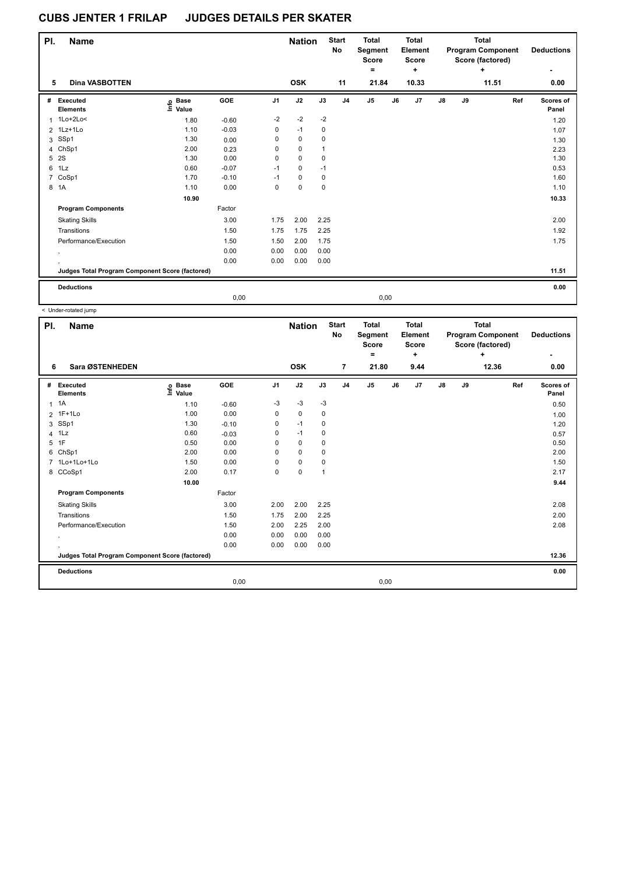| PI. | <b>Name</b>                                     |                   |         |                | <b>Nation</b> |              | <b>Start</b><br>No | <b>Total</b><br>Segment<br><b>Score</b><br>$\equiv$ |      | <b>Total</b><br>Element<br><b>Score</b><br>÷ |               |    | <b>Total</b><br><b>Program Component</b><br>Score (factored)<br>÷ | <b>Deductions</b>  |
|-----|-------------------------------------------------|-------------------|---------|----------------|---------------|--------------|--------------------|-----------------------------------------------------|------|----------------------------------------------|---------------|----|-------------------------------------------------------------------|--------------------|
| 5   | <b>Dina VASBOTTEN</b>                           |                   |         |                | <b>OSK</b>    |              | 11                 | 21.84                                               |      | 10.33                                        |               |    | 11.51                                                             | 0.00               |
| #   | Executed<br><b>Elements</b>                     | e Base<br>E Value | GOE     | J <sub>1</sub> | J2            | J3           | J <sub>4</sub>     | J <sub>5</sub>                                      | J6   | J <sub>7</sub>                               | $\mathsf{J}8$ | J9 | Ref                                                               | Scores of<br>Panel |
|     | 1 1Lo+2Lo<                                      | 1.80              | $-0.60$ | $-2$           | $-2$          | $-2$         |                    |                                                     |      |                                              |               |    |                                                                   | 1.20               |
|     | 2 1Lz+1Lo                                       | 1.10              | $-0.03$ | 0              | $-1$          | 0            |                    |                                                     |      |                                              |               |    |                                                                   | 1.07               |
| 3   | SSp1                                            | 1.30              | 0.00    | 0              | $\pmb{0}$     | $\mathbf 0$  |                    |                                                     |      |                                              |               |    |                                                                   | 1.30               |
|     | 4 ChSp1                                         | 2.00              | 0.23    | 0              | $\pmb{0}$     | $\mathbf{1}$ |                    |                                                     |      |                                              |               |    |                                                                   | 2.23               |
| 5   | 2S                                              | 1.30              | 0.00    | 0              | $\mathbf 0$   | 0            |                    |                                                     |      |                                              |               |    |                                                                   | 1.30               |
| 6   | 1Lz                                             | 0.60              | $-0.07$ | $-1$           | $\pmb{0}$     | $-1$         |                    |                                                     |      |                                              |               |    |                                                                   | 0.53               |
| 7   | CoSp1                                           | 1.70              | $-0.10$ | $-1$           | $\pmb{0}$     | 0            |                    |                                                     |      |                                              |               |    |                                                                   | 1.60               |
|     | 8 1A                                            | 1.10              | 0.00    | 0              | $\mathbf 0$   | 0            |                    |                                                     |      |                                              |               |    |                                                                   | 1.10               |
|     |                                                 | 10.90             |         |                |               |              |                    |                                                     |      |                                              |               |    |                                                                   | 10.33              |
|     | <b>Program Components</b>                       |                   | Factor  |                |               |              |                    |                                                     |      |                                              |               |    |                                                                   |                    |
|     | <b>Skating Skills</b>                           |                   | 3.00    | 1.75           | 2.00          | 2.25         |                    |                                                     |      |                                              |               |    |                                                                   | 2.00               |
|     | Transitions                                     |                   | 1.50    | 1.75           | 1.75          | 2.25         |                    |                                                     |      |                                              |               |    |                                                                   | 1.92               |
|     | Performance/Execution                           |                   | 1.50    | 1.50           | 2.00          | 1.75         |                    |                                                     |      |                                              |               |    |                                                                   | 1.75               |
|     | $\,$                                            |                   | 0.00    | 0.00           | 0.00          | 0.00         |                    |                                                     |      |                                              |               |    |                                                                   |                    |
|     |                                                 |                   | 0.00    | 0.00           | 0.00          | 0.00         |                    |                                                     |      |                                              |               |    |                                                                   |                    |
|     | Judges Total Program Component Score (factored) |                   |         |                |               |              |                    |                                                     |      |                                              |               |    |                                                                   | 11.51              |
|     | <b>Deductions</b>                               |                   |         |                |               |              |                    |                                                     |      |                                              |               |    |                                                                   | 0.00               |
|     |                                                 |                   | 0.00    |                |               |              |                    |                                                     | 0,00 |                                              |               |    |                                                                   |                    |

|              | < Under-rotated jump                            |                              |         |                |               |      |                    |                                         |      |                                         |    |    |                                                              |                    |
|--------------|-------------------------------------------------|------------------------------|---------|----------------|---------------|------|--------------------|-----------------------------------------|------|-----------------------------------------|----|----|--------------------------------------------------------------|--------------------|
| PI.          | <b>Name</b>                                     |                              |         |                | <b>Nation</b> |      | <b>Start</b><br>No | <b>Total</b><br>Segment<br><b>Score</b> |      | <b>Total</b><br>Element<br><b>Score</b> |    |    | <b>Total</b><br><b>Program Component</b><br>Score (factored) | <b>Deductions</b>  |
|              |                                                 |                              |         |                |               |      |                    | ۰                                       |      | ٠                                       |    |    | ٠                                                            | ۰                  |
| 6            | Sara ØSTENHEDEN                                 |                              |         |                | <b>OSK</b>    |      | $\overline{7}$     | 21.80                                   |      | 9.44                                    |    |    | 12.36                                                        | 0.00               |
| #            | Executed<br><b>Elements</b>                     | <b>Base</b><br>١nfo<br>Value | GOE     | J <sub>1</sub> | J2            | J3   | J <sub>4</sub>     | J <sub>5</sub>                          | J6   | J7                                      | J8 | J9 | Ref                                                          | Scores of<br>Panel |
| $\mathbf{1}$ | 1A                                              | 1.10                         | $-0.60$ | $-3$           | $-3$          | $-3$ |                    |                                         |      |                                         |    |    |                                                              | 0.50               |
|              | 2 1F+1Lo                                        | 1.00                         | 0.00    | 0              | $\mathbf 0$   | 0    |                    |                                         |      |                                         |    |    |                                                              | 1.00               |
| 3            | SSp1                                            | 1.30                         | $-0.10$ | 0              | $-1$          | 0    |                    |                                         |      |                                         |    |    |                                                              | 1.20               |
| 4            | 1Lz                                             | 0.60                         | $-0.03$ | 0              | $-1$          | 0    |                    |                                         |      |                                         |    |    |                                                              | 0.57               |
| 5            | 1F                                              | 0.50                         | 0.00    | 0              | $\mathbf 0$   | 0    |                    |                                         |      |                                         |    |    |                                                              | 0.50               |
|              | 6 ChSp1                                         | 2.00                         | 0.00    | 0              | 0             | 0    |                    |                                         |      |                                         |    |    |                                                              | 2.00               |
|              | 7 1Lo+1Lo+1Lo                                   | 1.50                         | 0.00    | 0              | 0             | 0    |                    |                                         |      |                                         |    |    |                                                              | 1.50               |
|              | 8 CCoSp1                                        | 2.00                         | 0.17    | 0              | 0             | 1    |                    |                                         |      |                                         |    |    |                                                              | 2.17               |
|              |                                                 | 10.00                        |         |                |               |      |                    |                                         |      |                                         |    |    |                                                              | 9.44               |
|              | <b>Program Components</b>                       |                              | Factor  |                |               |      |                    |                                         |      |                                         |    |    |                                                              |                    |
|              | <b>Skating Skills</b>                           |                              | 3.00    | 2.00           | 2.00          | 2.25 |                    |                                         |      |                                         |    |    |                                                              | 2.08               |
|              | Transitions                                     |                              | 1.50    | 1.75           | 2.00          | 2.25 |                    |                                         |      |                                         |    |    |                                                              | 2.00               |
|              | Performance/Execution                           |                              | 1.50    | 2.00           | 2.25          | 2.00 |                    |                                         |      |                                         |    |    |                                                              | 2.08               |
|              | $\cdot$                                         |                              | 0.00    | 0.00           | 0.00          | 0.00 |                    |                                         |      |                                         |    |    |                                                              |                    |
|              |                                                 |                              | 0.00    | 0.00           | 0.00          | 0.00 |                    |                                         |      |                                         |    |    |                                                              |                    |
|              | Judges Total Program Component Score (factored) |                              |         |                |               |      |                    |                                         |      |                                         |    |    |                                                              | 12.36              |
|              | <b>Deductions</b>                               |                              |         |                |               |      |                    |                                         |      |                                         |    |    |                                                              | 0.00               |
|              |                                                 |                              | 0,00    |                |               |      |                    |                                         | 0,00 |                                         |    |    |                                                              |                    |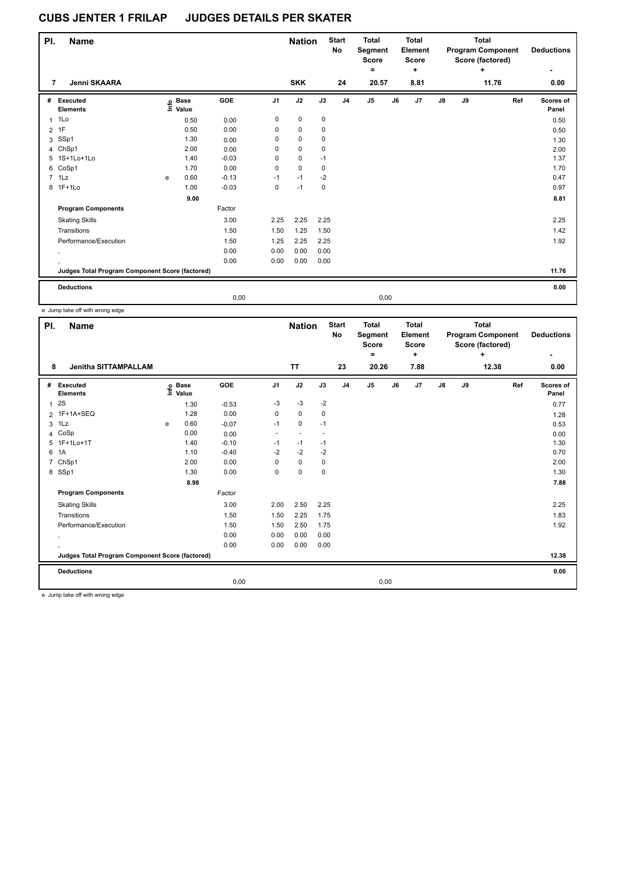| PI.            | <b>Name</b>                                     |   |                   |         |                | <b>Nation</b> |      | <b>Start</b><br>No | <b>Total</b><br>Segment<br>Score<br>$\equiv$ |      | Total<br>Element<br><b>Score</b><br>÷ |               |    | Total<br><b>Program Component</b><br>Score (factored)<br>÷ | <b>Deductions</b>  |
|----------------|-------------------------------------------------|---|-------------------|---------|----------------|---------------|------|--------------------|----------------------------------------------|------|---------------------------------------|---------------|----|------------------------------------------------------------|--------------------|
| 7              | Jenni SKAARA                                    |   |                   |         |                | <b>SKK</b>    |      | 24                 | 20.57                                        |      | 8.81                                  |               |    | 11.76                                                      | 0.00               |
| #              | Executed<br><b>Elements</b>                     |   | e Base<br>E Value | GOE     | J <sub>1</sub> | J2            | J3   | J <sub>4</sub>     | J <sub>5</sub>                               | J6   | J <sub>7</sub>                        | $\mathsf{J}8$ | J9 | Ref                                                        | Scores of<br>Panel |
|                | $1$ 1 Lo                                        |   | 0.50              | 0.00    | 0              | $\mathbf 0$   | 0    |                    |                                              |      |                                       |               |    |                                                            | 0.50               |
| $\overline{2}$ | 1F                                              |   | 0.50              | 0.00    | 0              | 0             | 0    |                    |                                              |      |                                       |               |    |                                                            | 0.50               |
| 3              | SSp1                                            |   | 1.30              | 0.00    | 0              | $\pmb{0}$     | 0    |                    |                                              |      |                                       |               |    |                                                            | 1.30               |
|                | 4 ChSp1                                         |   | 2.00              | 0.00    | 0              | $\mathbf 0$   | 0    |                    |                                              |      |                                       |               |    |                                                            | 2.00               |
|                | 5 1S+1Lo+1Lo                                    |   | 1.40              | $-0.03$ | 0              | $\mathbf 0$   | $-1$ |                    |                                              |      |                                       |               |    |                                                            | 1.37               |
|                | 6 CoSp1                                         |   | 1.70              | 0.00    | 0              | $\pmb{0}$     | 0    |                    |                                              |      |                                       |               |    |                                                            | 1.70               |
|                | 7 1Lz                                           | e | 0.60              | $-0.13$ | $-1$           | $-1$          | $-2$ |                    |                                              |      |                                       |               |    |                                                            | 0.47               |
|                | 8 1F+1Lo                                        |   | 1.00              | $-0.03$ | 0              | $-1$          | 0    |                    |                                              |      |                                       |               |    |                                                            | 0.97               |
|                |                                                 |   | 9.00              |         |                |               |      |                    |                                              |      |                                       |               |    |                                                            | 8.81               |
|                | <b>Program Components</b>                       |   |                   | Factor  |                |               |      |                    |                                              |      |                                       |               |    |                                                            |                    |
|                | <b>Skating Skills</b>                           |   |                   | 3.00    | 2.25           | 2.25          | 2.25 |                    |                                              |      |                                       |               |    |                                                            | 2.25               |
|                | Transitions                                     |   |                   | 1.50    | 1.50           | 1.25          | 1.50 |                    |                                              |      |                                       |               |    |                                                            | 1.42               |
|                | Performance/Execution                           |   |                   | 1.50    | 1.25           | 2.25          | 2.25 |                    |                                              |      |                                       |               |    |                                                            | 1.92               |
|                | $\cdot$                                         |   |                   | 0.00    | 0.00           | 0.00          | 0.00 |                    |                                              |      |                                       |               |    |                                                            |                    |
|                |                                                 |   |                   | 0.00    | 0.00           | 0.00          | 0.00 |                    |                                              |      |                                       |               |    |                                                            |                    |
|                | Judges Total Program Component Score (factored) |   |                   |         |                |               |      |                    |                                              |      |                                       |               |    |                                                            | 11.76              |
|                | <b>Deductions</b>                               |   |                   |         |                |               |      |                    |                                              |      |                                       |               |    |                                                            | 0.00               |
|                |                                                 |   |                   | 0,00    |                |               |      |                    |                                              | 0,00 |                                       |               |    |                                                            |                    |

e Jump take off with wrong edge

| PI.            | <b>Name</b>                                     |   |                                  |         |                | <b>Nation</b>  |                          | <b>Start</b><br><b>No</b> | <b>Total</b><br>Segment<br><b>Score</b><br>۰ |    | Total<br>Element<br><b>Score</b><br>÷ |               |    | Total<br><b>Program Component</b><br>Score (factored)<br>$\ddot{}$ | <b>Deductions</b>  |
|----------------|-------------------------------------------------|---|----------------------------------|---------|----------------|----------------|--------------------------|---------------------------|----------------------------------------------|----|---------------------------------------|---------------|----|--------------------------------------------------------------------|--------------------|
| 8              | <b>Jenitha SITTAMPALLAM</b>                     |   |                                  |         |                | <b>TT</b>      |                          | 23                        | 20.26                                        |    | 7.88                                  |               |    | 12.38                                                              | 0.00               |
| #              | Executed<br><b>Elements</b>                     |   | <b>Base</b><br>e Base<br>⊑ Value | GOE     | J <sub>1</sub> | J2             | J3                       | J <sub>4</sub>            | J <sub>5</sub>                               | J6 | J7                                    | $\mathsf{J}8$ | J9 | Ref                                                                | Scores of<br>Panel |
| $\mathbf{1}$   | 2S                                              |   | 1.30                             | $-0.53$ | $-3$           | $-3$           | $-2$                     |                           |                                              |    |                                       |               |    |                                                                    | 0.77               |
|                | 2 1F+1A+SEQ                                     |   | 1.28                             | 0.00    | 0              | 0              | 0                        |                           |                                              |    |                                       |               |    |                                                                    | 1.28               |
| 3              | 1Lz                                             | e | 0.60                             | $-0.07$ | $-1$           | $\mathbf 0$    | $-1$                     |                           |                                              |    |                                       |               |    |                                                                    | 0.53               |
| 4              | CoSp                                            |   | 0.00                             | 0.00    | ٠              | $\overline{a}$ | $\overline{\phantom{a}}$ |                           |                                              |    |                                       |               |    |                                                                    | 0.00               |
|                | 5 1F+1Lo+1T                                     |   | 1.40                             | $-0.10$ | $-1$           | $-1$           | $-1$                     |                           |                                              |    |                                       |               |    |                                                                    | 1.30               |
| 6              | 1A                                              |   | 1.10                             | $-0.40$ | $-2$           | $-2$           | $-2$                     |                           |                                              |    |                                       |               |    |                                                                    | 0.70               |
| $\overline{7}$ | ChSp1                                           |   | 2.00                             | 0.00    | 0              | 0              | 0                        |                           |                                              |    |                                       |               |    |                                                                    | 2.00               |
|                | 8 SSp1                                          |   | 1.30                             | 0.00    | 0              | 0              | $\mathbf 0$              |                           |                                              |    |                                       |               |    |                                                                    | 1.30               |
|                |                                                 |   | 8.98                             |         |                |                |                          |                           |                                              |    |                                       |               |    |                                                                    | 7.88               |
|                | <b>Program Components</b>                       |   |                                  | Factor  |                |                |                          |                           |                                              |    |                                       |               |    |                                                                    |                    |
|                | <b>Skating Skills</b>                           |   |                                  | 3.00    | 2.00           | 2.50           | 2.25                     |                           |                                              |    |                                       |               |    |                                                                    | 2.25               |
|                | Transitions                                     |   |                                  | 1.50    | 1.50           | 2.25           | 1.75                     |                           |                                              |    |                                       |               |    |                                                                    | 1.83               |
|                | Performance/Execution                           |   |                                  | 1.50    | 1.50           | 2.50           | 1.75                     |                           |                                              |    |                                       |               |    |                                                                    | 1.92               |
|                |                                                 |   |                                  | 0.00    | 0.00           | 0.00           | 0.00                     |                           |                                              |    |                                       |               |    |                                                                    |                    |
|                | $\cdot$                                         |   |                                  | 0.00    | 0.00           | 0.00           | 0.00                     |                           |                                              |    |                                       |               |    |                                                                    |                    |
|                | Judges Total Program Component Score (factored) |   |                                  |         |                |                |                          |                           |                                              |    |                                       |               |    |                                                                    | 12.38              |
|                | <b>Deductions</b>                               |   |                                  |         |                |                |                          |                           |                                              |    |                                       |               |    |                                                                    | 0.00               |
|                |                                                 |   |                                  | 0,00    |                |                |                          |                           | 0,00                                         |    |                                       |               |    |                                                                    |                    |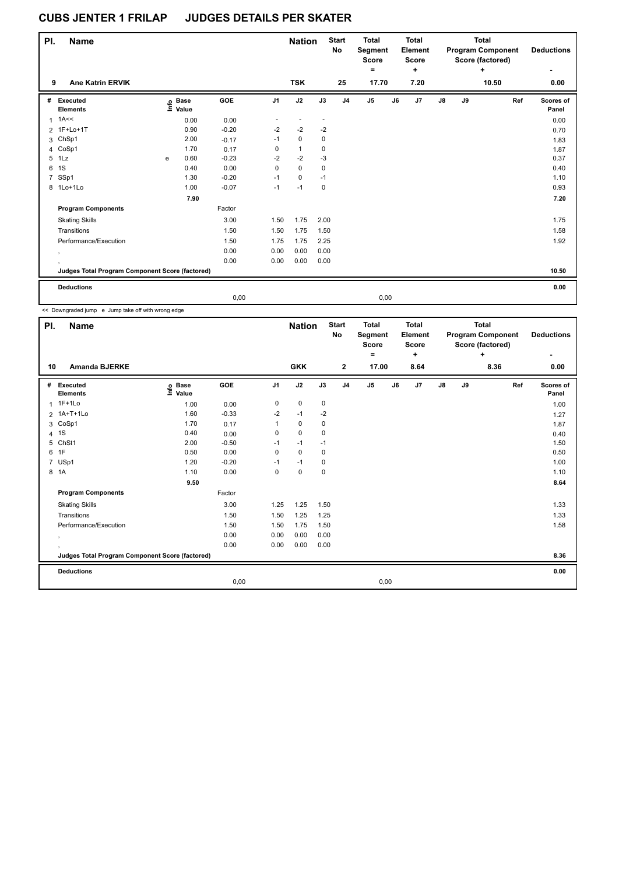| PI. | <b>Name</b>                                     |   |                            |         |                | <b>Nation</b> |                          | <b>Start</b><br><b>No</b> | <b>Total</b><br>Segment<br><b>Score</b><br>$\equiv$ |      | Total<br><b>Element</b><br><b>Score</b><br>٠. |               |    | Total<br><b>Program Component</b><br>Score (factored)<br>٠ | <b>Deductions</b>  |
|-----|-------------------------------------------------|---|----------------------------|---------|----------------|---------------|--------------------------|---------------------------|-----------------------------------------------------|------|-----------------------------------------------|---------------|----|------------------------------------------------------------|--------------------|
| 9   | <b>Ane Katrin ERVIK</b>                         |   |                            |         |                | <b>TSK</b>    |                          | 25                        | 17.70                                               |      | 7.20                                          |               |    | 10.50                                                      | 0.00               |
| #   | Executed<br><b>Elements</b>                     |   | e Base<br>E Value<br>Value | GOE     | J <sub>1</sub> | J2            | J3                       | J <sub>4</sub>            | $\mathsf{J}5$                                       | J6   | J <sub>7</sub>                                | $\mathsf{J}8$ | J9 | Ref                                                        | Scores of<br>Panel |
| 1   | 1A<<                                            |   | 0.00                       | 0.00    |                |               | $\overline{\phantom{a}}$ |                           |                                                     |      |                                               |               |    |                                                            | 0.00               |
|     | 2 1F+Lo+1T                                      |   | 0.90                       | $-0.20$ | $-2$           | $-2$          | $-2$                     |                           |                                                     |      |                                               |               |    |                                                            | 0.70               |
| 3   | ChSp1                                           |   | 2.00                       | $-0.17$ | $-1$           | $\mathbf 0$   | 0                        |                           |                                                     |      |                                               |               |    |                                                            | 1.83               |
| 4   | CoSp1                                           |   | 1.70                       | 0.17    | 0              | $\mathbf{1}$  | 0                        |                           |                                                     |      |                                               |               |    |                                                            | 1.87               |
| 5   | 1Lz                                             | e | 0.60                       | $-0.23$ | $-2$           | $-2$          | $-3$                     |                           |                                                     |      |                                               |               |    |                                                            | 0.37               |
| 6   | 1S                                              |   | 0.40                       | 0.00    | 0              | $\mathbf 0$   | 0                        |                           |                                                     |      |                                               |               |    |                                                            | 0.40               |
| 7   | SSp1                                            |   | 1.30                       | $-0.20$ | $-1$           | 0             | $-1$                     |                           |                                                     |      |                                               |               |    |                                                            | 1.10               |
|     | 8 1Lo+1Lo                                       |   | 1.00                       | $-0.07$ | $-1$           | $-1$          | $\mathbf 0$              |                           |                                                     |      |                                               |               |    |                                                            | 0.93               |
|     |                                                 |   | 7.90                       |         |                |               |                          |                           |                                                     |      |                                               |               |    |                                                            | 7.20               |
|     | <b>Program Components</b>                       |   |                            | Factor  |                |               |                          |                           |                                                     |      |                                               |               |    |                                                            |                    |
|     | <b>Skating Skills</b>                           |   |                            | 3.00    | 1.50           | 1.75          | 2.00                     |                           |                                                     |      |                                               |               |    |                                                            | 1.75               |
|     | Transitions                                     |   |                            | 1.50    | 1.50           | 1.75          | 1.50                     |                           |                                                     |      |                                               |               |    |                                                            | 1.58               |
|     | Performance/Execution                           |   |                            | 1.50    | 1.75           | 1.75          | 2.25                     |                           |                                                     |      |                                               |               |    |                                                            | 1.92               |
|     | $\cdot$                                         |   |                            | 0.00    | 0.00           | 0.00          | 0.00                     |                           |                                                     |      |                                               |               |    |                                                            |                    |
|     |                                                 |   |                            | 0.00    | 0.00           | 0.00          | 0.00                     |                           |                                                     |      |                                               |               |    |                                                            |                    |
|     | Judges Total Program Component Score (factored) |   |                            |         |                |               |                          |                           |                                                     |      |                                               |               |    |                                                            | 10.50              |
|     | <b>Deductions</b>                               |   |                            |         |                |               |                          |                           |                                                     |      |                                               |               |    |                                                            | 0.00               |
|     |                                                 |   |                            | 0,00    |                |               |                          |                           |                                                     | 0,00 |                                               |               |    |                                                            |                    |

<< Downgraded jump e Jump take off with wrong edge

| PI.            | <b>Name</b>                                     |                            |            |                | <b>Nation</b> |      | <b>Start</b><br>No | <b>Total</b><br>Segment<br><b>Score</b><br>٠ |    | <b>Total</b><br>Element<br>Score<br>÷ |               |    | <b>Total</b><br><b>Program Component</b><br>Score (factored)<br>÷ |     | <b>Deductions</b><br>٠ |
|----------------|-------------------------------------------------|----------------------------|------------|----------------|---------------|------|--------------------|----------------------------------------------|----|---------------------------------------|---------------|----|-------------------------------------------------------------------|-----|------------------------|
| 10             | <b>Amanda BJERKE</b>                            |                            |            |                | <b>GKK</b>    |      | $\mathbf{2}$       | 17.00                                        |    | 8.64                                  |               |    | 8.36                                                              |     | 0.00                   |
| #              | Executed<br><b>Elements</b>                     | <b>Base</b><br>۴ů<br>Value | <b>GOE</b> | J <sub>1</sub> | J2            | J3   | J <sub>4</sub>     | J5                                           | J6 | J7                                    | $\mathsf{J}8$ | J9 |                                                                   | Ref | Scores of<br>Panel     |
|                | 1 1F+1Lo                                        | 1.00                       | 0.00       | 0              | $\mathbf 0$   | 0    |                    |                                              |    |                                       |               |    |                                                                   |     | 1.00                   |
|                | 2 1A+T+1Lo                                      | 1.60                       | $-0.33$    | $-2$           | $-1$          | $-2$ |                    |                                              |    |                                       |               |    |                                                                   |     | 1.27                   |
|                | 3 CoSp1                                         | 1.70                       | 0.17       | 1              | 0             | 0    |                    |                                              |    |                                       |               |    |                                                                   |     | 1.87                   |
|                | 4 1 S                                           | 0.40                       | 0.00       | 0              | $\mathbf 0$   | 0    |                    |                                              |    |                                       |               |    |                                                                   |     | 0.40                   |
| 5              | ChSt1                                           | 2.00                       | $-0.50$    | $-1$           | $-1$          | $-1$ |                    |                                              |    |                                       |               |    |                                                                   |     | 1.50                   |
|                | 6 1F                                            | 0.50                       | 0.00       | 0              | $\mathbf 0$   | 0    |                    |                                              |    |                                       |               |    |                                                                   |     | 0.50                   |
| $\overline{7}$ | USp1                                            | 1.20                       | $-0.20$    | $-1$           | $-1$          | 0    |                    |                                              |    |                                       |               |    |                                                                   |     | 1.00                   |
|                | 8 1A                                            | 1.10                       | 0.00       | 0              | 0             | 0    |                    |                                              |    |                                       |               |    |                                                                   |     | 1.10                   |
|                |                                                 | 9.50                       |            |                |               |      |                    |                                              |    |                                       |               |    |                                                                   |     | 8.64                   |
|                | <b>Program Components</b>                       |                            | Factor     |                |               |      |                    |                                              |    |                                       |               |    |                                                                   |     |                        |
|                | <b>Skating Skills</b>                           |                            | 3.00       | 1.25           | 1.25          | 1.50 |                    |                                              |    |                                       |               |    |                                                                   |     | 1.33                   |
|                | Transitions                                     |                            | 1.50       | 1.50           | 1.25          | 1.25 |                    |                                              |    |                                       |               |    |                                                                   |     | 1.33                   |
|                | Performance/Execution                           |                            | 1.50       | 1.50           | 1.75          | 1.50 |                    |                                              |    |                                       |               |    |                                                                   |     | 1.58                   |
|                | $\,$                                            |                            | 0.00       | 0.00           | 0.00          | 0.00 |                    |                                              |    |                                       |               |    |                                                                   |     |                        |
|                |                                                 |                            | 0.00       | 0.00           | 0.00          | 0.00 |                    |                                              |    |                                       |               |    |                                                                   |     |                        |
|                | Judges Total Program Component Score (factored) |                            |            |                |               |      |                    |                                              |    |                                       |               |    |                                                                   |     | 8.36                   |
|                | <b>Deductions</b>                               |                            |            |                |               |      |                    |                                              |    |                                       |               |    |                                                                   |     | 0.00                   |
|                |                                                 |                            | 0,00       |                |               |      |                    | 0,00                                         |    |                                       |               |    |                                                                   |     |                        |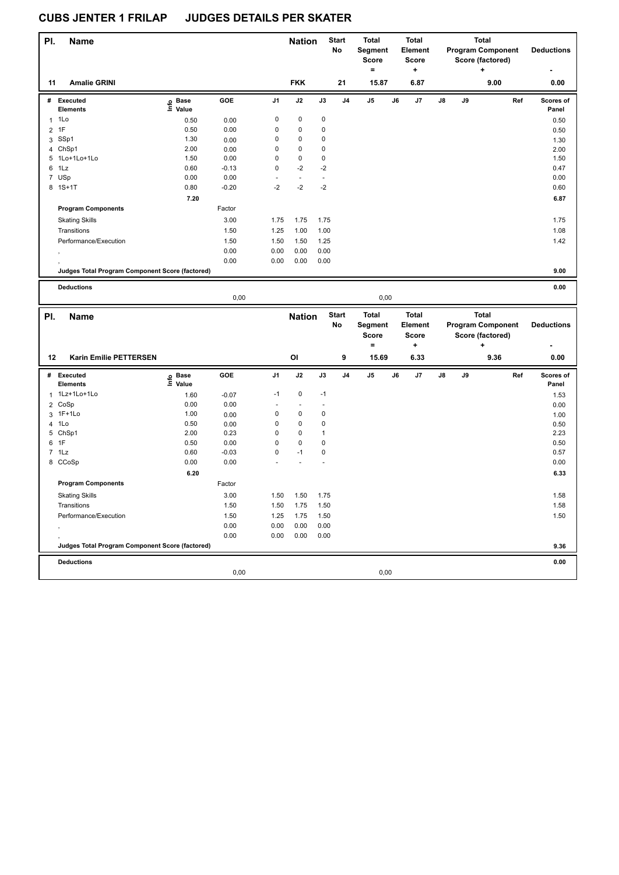| PI.            | <b>Name</b>                                     |                   |              |              | <b>Nation</b> |              | <b>Start</b><br>No | <b>Total</b><br>Segment |    | <b>Total</b><br>Element   |    |    | <b>Total</b><br><b>Program Component</b> |     | <b>Deductions</b>  |
|----------------|-------------------------------------------------|-------------------|--------------|--------------|---------------|--------------|--------------------|-------------------------|----|---------------------------|----|----|------------------------------------------|-----|--------------------|
|                |                                                 |                   |              |              |               |              |                    | <b>Score</b><br>$=$     |    | <b>Score</b><br>$\ddot{}$ |    |    | Score (factored)<br>+                    |     |                    |
| 11             | <b>Amalie GRINI</b>                             |                   |              |              | <b>FKK</b>    |              | 21                 | 15.87                   |    | 6.87                      |    |    | 9.00                                     |     | 0.00               |
|                | # Executed<br><b>Elements</b>                   | e Base<br>E Value | GOE          | J1           | J2            | J3           | J <sub>4</sub>     | $\mathsf{J}5$           | J6 | J7                        | J8 | J9 |                                          | Ref | Scores of<br>Panel |
|                | $1$ 1 Lo                                        | 0.50              | 0.00         | 0            | 0             | 0            |                    |                         |    |                           |    |    |                                          |     | 0.50               |
| $\overline{2}$ | 1F                                              | 0.50              | 0.00         | 0            | 0             | 0            |                    |                         |    |                           |    |    |                                          |     | 0.50               |
|                | 3 SSp1                                          | 1.30              | 0.00         | 0            | 0             | 0            |                    |                         |    |                           |    |    |                                          |     | 1.30               |
|                | 4 ChSp1                                         | 2.00              | 0.00         | 0            | $\mathbf 0$   | 0            |                    |                         |    |                           |    |    |                                          |     | 2.00               |
|                | 5 1Lo+1Lo+1Lo                                   | 1.50              | 0.00         | $\mathbf 0$  | $\pmb{0}$     | 0            |                    |                         |    |                           |    |    |                                          |     | 1.50               |
| 6              | 1Lz                                             | 0.60              | $-0.13$      | 0            | $-2$          | $-2$         |                    |                         |    |                           |    |    |                                          |     | 0.47               |
|                | 7 USp                                           | 0.00              | 0.00         |              | $\sim$        | $\sim$       |                    |                         |    |                           |    |    |                                          |     | 0.00               |
|                | 8 1S+1T                                         | 0.80              | $-0.20$      | $-2$         | $-2$          | $-2$         |                    |                         |    |                           |    |    |                                          |     | 0.60               |
|                |                                                 | 7.20              |              |              |               |              |                    |                         |    |                           |    |    |                                          |     | 6.87               |
|                | <b>Program Components</b>                       |                   | Factor       |              |               |              |                    |                         |    |                           |    |    |                                          |     |                    |
|                | <b>Skating Skills</b>                           |                   | 3.00         | 1.75         | 1.75          | 1.75         |                    |                         |    |                           |    |    |                                          |     | 1.75               |
|                | Transitions                                     |                   | 1.50         | 1.25         | 1.00          | 1.00         |                    |                         |    |                           |    |    |                                          |     | 1.08               |
|                | Performance/Execution                           |                   | 1.50         | 1.50         | 1.50          | 1.25         |                    |                         |    |                           |    |    |                                          |     | 1.42               |
|                |                                                 |                   | 0.00         | 0.00         | 0.00          | 0.00         |                    |                         |    |                           |    |    |                                          |     |                    |
|                |                                                 |                   | 0.00         | 0.00         | 0.00          | 0.00         |                    |                         |    |                           |    |    |                                          |     |                    |
|                | Judges Total Program Component Score (factored) |                   |              |              |               |              |                    |                         |    |                           |    |    |                                          |     | 9.00               |
|                |                                                 |                   |              |              |               |              |                    |                         |    |                           |    |    |                                          |     |                    |
|                | <b>Deductions</b>                               |                   |              |              |               |              |                    |                         |    |                           |    |    |                                          |     | 0.00               |
|                |                                                 |                   | 0,00         |              |               |              |                    | 0,00                    |    |                           |    |    |                                          |     |                    |
|                |                                                 |                   |              |              |               |              |                    |                         |    |                           |    |    |                                          |     |                    |
| PI.            | Name                                            |                   |              |              | <b>Nation</b> |              | <b>Start</b>       | <b>Total</b>            |    | <b>Total</b>              |    |    | <b>Total</b>                             |     |                    |
|                |                                                 |                   |              |              |               |              | No                 | Segment                 |    | Element                   |    |    | <b>Program Component</b>                 |     | <b>Deductions</b>  |
|                |                                                 |                   |              |              |               |              |                    | <b>Score</b>            |    | <b>Score</b>              |    |    | Score (factored)                         |     |                    |
|                |                                                 |                   |              |              |               |              |                    | $=$                     |    | ٠.                        |    |    | ٠                                        |     |                    |
| 12             | Karin Emilie PETTERSEN                          |                   |              |              | OI            |              | 9                  | 15.69                   |    | 6.33                      |    |    | 9.36                                     |     | 0.00               |
|                | # Executed<br><b>Elements</b>                   | e Base<br>⊑ Value | GOE          | J1           | J2            | J3           | J4                 | J5                      | J6 | J7                        | J8 | J9 |                                          | Ref | Scores of<br>Panel |
| $\mathbf{1}$   | 1Lz+1Lo+1Lo                                     | 1.60              | $-0.07$      | $-1$         | 0             | $-1$         |                    |                         |    |                           |    |    |                                          |     | 1.53               |
| $\overline{2}$ | CoSp                                            | 0.00              | 0.00         |              | $\sim$        | $\sim$       |                    |                         |    |                           |    |    |                                          |     | 0.00               |
|                | 3 1F+1Lo                                        | 1.00              | 0.00         | 0            | 0             | 0            |                    |                         |    |                           |    |    |                                          |     | 1.00               |
| 4              | 1Lo                                             | 0.50              | 0.00         | 0            | 0             | 0            |                    |                         |    |                           |    |    |                                          |     | 0.50               |
|                | 5 ChSp1                                         | 2.00              | 0.23         | $\Omega$     | $\mathbf 0$   | $\mathbf{1}$ |                    |                         |    |                           |    |    |                                          |     | 2.23               |
|                | 6 1F                                            | 0.50              | 0.00         | 0            | $\pmb{0}$     | 0            |                    |                         |    |                           |    |    |                                          |     | 0.50               |
|                | $7$ 1 Lz                                        | 0.60              | $-0.03$      | 0            | $-1$          | 0            |                    |                         |    |                           |    |    |                                          |     | 0.57               |
|                | 8 CCoSp                                         | 0.00              | 0.00         |              |               |              |                    |                         |    |                           |    |    |                                          |     | 0.00               |
|                |                                                 | 6.20              |              |              |               |              |                    |                         |    |                           |    |    |                                          |     | 6.33               |
|                | <b>Program Components</b>                       |                   | Factor       |              |               |              |                    |                         |    |                           |    |    |                                          |     |                    |
|                |                                                 |                   | 3.00         | 1.50         |               | 1.75         |                    |                         |    |                           |    |    |                                          |     | 1.58               |
|                | <b>Skating Skills</b><br>Transitions            |                   |              | 1.50         | 1.50          |              |                    |                         |    |                           |    |    |                                          |     | 1.58               |
|                |                                                 |                   | 1.50         |              | 1.75          | 1.50         |                    |                         |    |                           |    |    |                                          |     |                    |
|                | Performance/Execution                           |                   | 1.50         | 1.25         | 1.75          | 1.50         |                    |                         |    |                           |    |    |                                          |     | 1.50               |
|                |                                                 |                   | 0.00<br>0.00 | 0.00<br>0.00 | 0.00<br>0.00  | 0.00<br>0.00 |                    |                         |    |                           |    |    |                                          |     |                    |
|                | Judges Total Program Component Score (factored) |                   |              |              |               |              |                    |                         |    |                           |    |    |                                          |     | 9.36               |
|                |                                                 |                   |              |              |               |              |                    |                         |    |                           |    |    |                                          |     |                    |
|                | <b>Deductions</b>                               |                   | 0,00         |              |               |              |                    | 0,00                    |    |                           |    |    |                                          |     | 0.00               |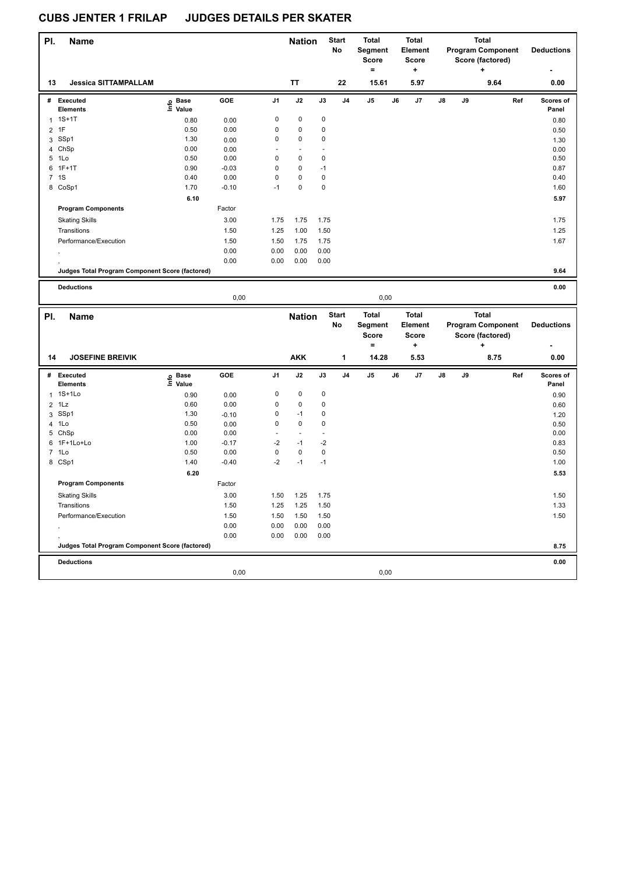| PI.            | <b>Name</b>                                     |                   |         |                | <b>Nation</b>  |             | <b>Start</b>   | <b>Total</b>             |    | <b>Total</b>            |    |    | <b>Total</b>                                 |     |                    |
|----------------|-------------------------------------------------|-------------------|---------|----------------|----------------|-------------|----------------|--------------------------|----|-------------------------|----|----|----------------------------------------------|-----|--------------------|
|                |                                                 |                   |         |                |                |             | No             | Segment<br><b>Score</b>  |    | Element<br><b>Score</b> |    |    | <b>Program Component</b><br>Score (factored) |     | <b>Deductions</b>  |
|                |                                                 |                   |         |                |                |             |                | $=$                      |    | ٠                       |    |    |                                              |     |                    |
| 13             | <b>Jessica SITTAMPALLAM</b>                     |                   |         |                | <b>TT</b>      |             | 22             | 15.61                    |    | 5.97                    |    |    | 9.64                                         |     | 0.00               |
|                | # Executed<br><b>Elements</b>                   | e Base<br>E Value | GOE     | J1             | J2             | J3          | J <sub>4</sub> | J5                       | J6 | J7                      | J8 | J9 |                                              | Ref | Scores of<br>Panel |
|                | $1.1S+1T$                                       | 0.80              | 0.00    | 0              | $\mathbf 0$    | $\pmb{0}$   |                |                          |    |                         |    |    |                                              |     | 0.80               |
| $\overline{2}$ | 1F                                              | 0.50              | 0.00    | 0              | $\pmb{0}$      | $\mathbf 0$ |                |                          |    |                         |    |    |                                              |     | 0.50               |
|                | 3 SSp1                                          | 1.30              | 0.00    | 0              | 0              | $\pmb{0}$   |                |                          |    |                         |    |    |                                              |     | 1.30               |
|                | 4 ChSp                                          | 0.00              | 0.00    | $\overline{a}$ | $\overline{a}$ | ä,          |                |                          |    |                         |    |    |                                              |     | 0.00               |
|                | 5 1Lo                                           | 0.50              | 0.00    | 0              | $\pmb{0}$      | $\pmb{0}$   |                |                          |    |                         |    |    |                                              |     | 0.50               |
|                | 6 1F+1T                                         | 0.90              | $-0.03$ | $\mathbf 0$    | $\pmb{0}$      | $-1$        |                |                          |    |                         |    |    |                                              |     | 0.87               |
|                | 7 1S                                            | 0.40              | 0.00    | $\mathbf 0$    | $\pmb{0}$      | $\pmb{0}$   |                |                          |    |                         |    |    |                                              |     | 0.40               |
|                | 8 CoSp1                                         | 1.70              | $-0.10$ | $-1$           | $\pmb{0}$      | 0           |                |                          |    |                         |    |    |                                              |     | 1.60               |
|                |                                                 | 6.10              |         |                |                |             |                |                          |    |                         |    |    |                                              |     | 5.97               |
|                | <b>Program Components</b>                       |                   | Factor  |                |                |             |                |                          |    |                         |    |    |                                              |     |                    |
|                | <b>Skating Skills</b>                           |                   | 3.00    | 1.75           | 1.75           | 1.75        |                |                          |    |                         |    |    |                                              |     | 1.75               |
|                | Transitions                                     |                   | 1.50    | 1.25           | 1.00           | 1.50        |                |                          |    |                         |    |    |                                              |     | 1.25               |
|                | Performance/Execution                           |                   | 1.50    | 1.50           | 1.75           | 1.75        |                |                          |    |                         |    |    |                                              |     | 1.67               |
|                |                                                 |                   | 0.00    | 0.00           | 0.00           | 0.00        |                |                          |    |                         |    |    |                                              |     |                    |
|                |                                                 |                   | 0.00    | 0.00           | 0.00           | 0.00        |                |                          |    |                         |    |    |                                              |     |                    |
|                | Judges Total Program Component Score (factored) |                   |         |                |                |             |                |                          |    |                         |    |    |                                              |     | 9.64               |
|                | <b>Deductions</b>                               |                   |         |                |                |             |                |                          |    |                         |    |    |                                              |     | 0.00               |
|                |                                                 |                   | 0,00    |                |                |             |                | 0,00                     |    |                         |    |    |                                              |     |                    |
|                |                                                 |                   |         |                |                |             |                |                          |    |                         |    |    |                                              |     |                    |
|                |                                                 |                   |         |                |                |             |                |                          |    |                         |    |    |                                              |     |                    |
| PI.            | <b>Name</b>                                     |                   |         |                | <b>Nation</b>  |             | <b>Start</b>   | <b>Total</b>             |    | <b>Total</b>            |    |    | Total                                        |     |                    |
|                |                                                 |                   |         |                |                |             | No             | Segment                  |    | Element                 |    |    | <b>Program Component</b>                     |     | <b>Deductions</b>  |
|                |                                                 |                   |         |                |                |             |                | <b>Score</b><br>$\equiv$ |    | <b>Score</b><br>٠       |    |    | Score (factored)<br>٠                        |     |                    |
| 14             | <b>JOSEFINE BREIVIK</b>                         |                   |         |                | <b>AKK</b>     |             | 1              | 14.28                    |    | 5.53                    |    |    | 8.75                                         |     | 0.00               |
|                |                                                 |                   |         |                |                |             |                |                          |    |                         |    |    |                                              |     |                    |
|                | # Executed                                      |                   | GOE     | J1             | J2             | J3          | J <sub>4</sub> | J5                       | J6 | J7                      | J8 | J9 |                                              | Ref | Scores of          |
|                | <b>Elements</b>                                 | e Base<br>⊑ Value |         |                |                |             |                |                          |    |                         |    |    |                                              |     | Panel              |
| 1              | 1S+1Lo                                          | 0.90              | 0.00    | 0              | $\mathbf 0$    | $\pmb{0}$   |                |                          |    |                         |    |    |                                              |     | 0.90               |
| $\overline{2}$ | 1Lz                                             | 0.60              | 0.00    | 0              | $\pmb{0}$      | $\pmb{0}$   |                |                          |    |                         |    |    |                                              |     | 0.60               |
|                | 3 SSp1                                          | 1.30              | $-0.10$ | 0              | $-1$           | $\pmb{0}$   |                |                          |    |                         |    |    |                                              |     | 1.20               |
| $\overline{4}$ | 1Lo                                             | 0.50              | 0.00    | 0              | $\pmb{0}$      | 0           |                |                          |    |                         |    |    |                                              |     | 0.50               |
|                | 5 ChSp                                          | 0.00              | 0.00    | ä,             | ä,             | L,          |                |                          |    |                         |    |    |                                              |     | 0.00               |
| 6              | 1F+1Lo+Lo                                       | 1.00              | $-0.17$ | $-2$           | $-1$           | $-2$        |                |                          |    |                         |    |    |                                              |     | 0.83               |
|                | 7 1Lo                                           | 0.50              | 0.00    | $\pmb{0}$      | $\pmb{0}$      | $\pmb{0}$   |                |                          |    |                         |    |    |                                              |     | 0.50               |
|                | 8 CSp1                                          | 1.40              | $-0.40$ | $-2$           | $-1$           | $-1$        |                |                          |    |                         |    |    |                                              |     | 1.00               |
|                |                                                 | 6.20              |         |                |                |             |                |                          |    |                         |    |    |                                              |     | 5.53               |
|                | <b>Program Components</b>                       |                   | Factor  |                |                |             |                |                          |    |                         |    |    |                                              |     |                    |
|                | <b>Skating Skills</b>                           |                   | 3.00    | 1.50           | 1.25           | 1.75        |                |                          |    |                         |    |    |                                              |     | 1.50               |
|                | Transitions                                     |                   | 1.50    | 1.25           | 1.25           | 1.50        |                |                          |    |                         |    |    |                                              |     | 1.33               |
|                | Performance/Execution                           |                   | 1.50    | 1.50           | 1.50           | 1.50        |                |                          |    |                         |    |    |                                              |     | 1.50               |
|                |                                                 |                   | 0.00    | 0.00           | 0.00           | 0.00        |                |                          |    |                         |    |    |                                              |     |                    |
|                |                                                 |                   | 0.00    | 0.00           | 0.00           | 0.00        |                |                          |    |                         |    |    |                                              |     |                    |
|                | Judges Total Program Component Score (factored) |                   |         |                |                |             |                |                          |    |                         |    |    |                                              |     | 8.75               |
|                | <b>Deductions</b>                               |                   | 0,00    |                |                |             |                | 0,00                     |    |                         |    |    |                                              |     | 0.00               |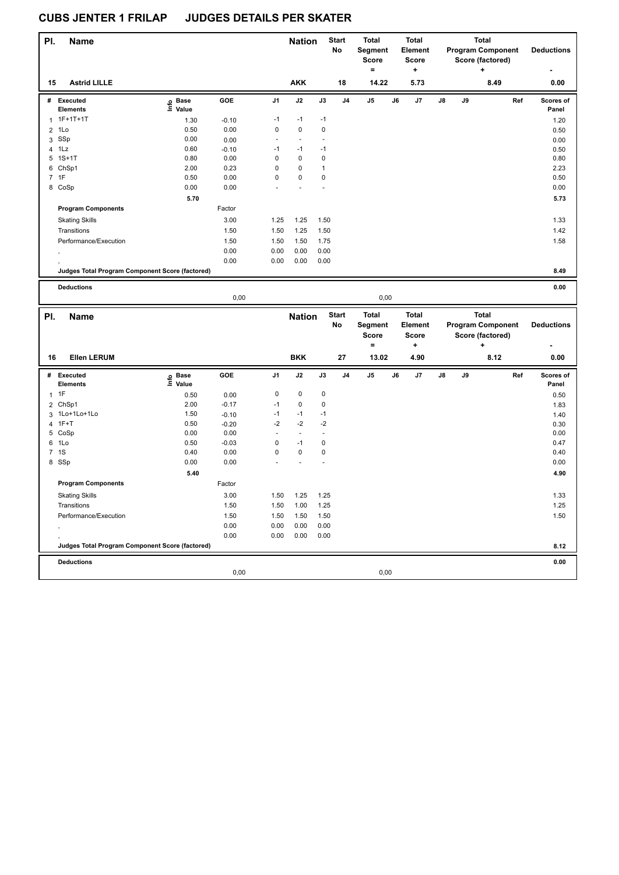| PI. | <b>Name</b>                                     |                             |         |                | <b>Nation</b>            |               | <b>Start</b><br>No | <b>Total</b><br>Segment<br>Score |    | <b>Total</b><br>Element<br><b>Score</b> |    |    | <b>Total</b><br><b>Program Component</b><br>Score (factored) |     | <b>Deductions</b>  |
|-----|-------------------------------------------------|-----------------------------|---------|----------------|--------------------------|---------------|--------------------|----------------------------------|----|-----------------------------------------|----|----|--------------------------------------------------------------|-----|--------------------|
|     |                                                 |                             |         |                |                          |               |                    | $\equiv$                         |    | $\ddot{}$                               |    |    |                                                              |     |                    |
| 15  | <b>Astrid LILLE</b>                             |                             |         |                | <b>AKK</b>               |               | 18                 | 14.22                            |    | 5.73                                    |    |    | 8.49                                                         |     | 0.00               |
| #   | <b>Executed</b>                                 | o Base<br>$\bar{\Xi}$ Value | GOE     | J1             | J2                       | J3            | J4                 | J5                               | J6 | J7                                      | J8 | J9 |                                                              | Ref | Scores of          |
|     | <b>Elements</b>                                 |                             |         |                |                          |               |                    |                                  |    |                                         |    |    |                                                              |     | Panel              |
| 1   | 1F+1T+1T                                        | 1.30                        | $-0.10$ | $-1$           | $-1$                     | $-1$          |                    |                                  |    |                                         |    |    |                                                              |     | 1.20               |
| 2   | 1Lo                                             | 0.50                        | 0.00    | $\pmb{0}$      | $\pmb{0}$                | $\pmb{0}$     |                    |                                  |    |                                         |    |    |                                                              |     | 0.50               |
|     | 3 SSp                                           | 0.00                        | 0.00    | L,             | $\overline{\phantom{a}}$ | L,            |                    |                                  |    |                                         |    |    |                                                              |     | 0.00               |
| 4   | 1Lz                                             | 0.60                        | $-0.10$ | $-1$           | $-1$                     | $-1$          |                    |                                  |    |                                         |    |    |                                                              |     | 0.50               |
|     | 5 1S+1T                                         | 0.80                        | 0.00    | $\mathbf 0$    | $\pmb{0}$                | 0             |                    |                                  |    |                                         |    |    |                                                              |     | 0.80               |
|     | 6 ChSp1                                         | 2.00                        | 0.23    | $\mathbf 0$    | $\pmb{0}$                | $\mathbf{1}$  |                    |                                  |    |                                         |    |    |                                                              |     | 2.23               |
|     | 7 1F                                            | 0.50                        | 0.00    | $\pmb{0}$      | $\pmb{0}$                | 0             |                    |                                  |    |                                         |    |    |                                                              |     | 0.50               |
|     | 8 CoSp                                          | 0.00                        | 0.00    |                |                          |               |                    |                                  |    |                                         |    |    |                                                              |     | 0.00               |
|     |                                                 | 5.70                        |         |                |                          |               |                    |                                  |    |                                         |    |    |                                                              |     | 5.73               |
|     | <b>Program Components</b>                       |                             | Factor  |                |                          |               |                    |                                  |    |                                         |    |    |                                                              |     |                    |
|     | <b>Skating Skills</b>                           |                             | 3.00    | 1.25           | 1.25                     | 1.50          |                    |                                  |    |                                         |    |    |                                                              |     | 1.33               |
|     | Transitions                                     |                             | 1.50    | 1.50           | 1.25                     | 1.50          |                    |                                  |    |                                         |    |    |                                                              |     | 1.42               |
|     | Performance/Execution                           |                             | 1.50    | 1.50           | 1.50                     | 1.75          |                    |                                  |    |                                         |    |    |                                                              |     | 1.58               |
|     |                                                 |                             | 0.00    | 0.00           | 0.00                     | 0.00          |                    |                                  |    |                                         |    |    |                                                              |     |                    |
|     |                                                 |                             | 0.00    | 0.00           | 0.00                     | 0.00          |                    |                                  |    |                                         |    |    |                                                              |     |                    |
|     | Judges Total Program Component Score (factored) |                             |         |                |                          |               |                    |                                  |    |                                         |    |    |                                                              |     | 8.49               |
|     |                                                 |                             |         |                |                          |               |                    |                                  |    |                                         |    |    |                                                              |     |                    |
|     | <b>Deductions</b>                               |                             | 0,00    |                |                          |               |                    |                                  |    |                                         |    |    |                                                              |     | 0.00               |
|     |                                                 |                             |         |                |                          |               |                    |                                  |    |                                         |    |    |                                                              |     |                    |
|     |                                                 |                             |         |                |                          |               |                    | 0,00                             |    |                                         |    |    |                                                              |     |                    |
| PI. | <b>Name</b>                                     |                             |         |                | <b>Nation</b>            |               | <b>Start</b><br>No | Total<br>Segment                 |    | <b>Total</b><br>Element                 |    |    | Total<br><b>Program Component</b>                            |     | <b>Deductions</b>  |
|     |                                                 |                             |         |                |                          |               |                    | <b>Score</b>                     |    | <b>Score</b>                            |    |    | Score (factored)                                             |     |                    |
| 16  | <b>Ellen LERUM</b>                              |                             |         |                | <b>BKK</b>               |               | 27                 | $\equiv$<br>13.02                |    | +<br>4.90                               |    |    | 8.12                                                         |     | 0.00               |
|     |                                                 |                             |         |                |                          |               |                    |                                  |    |                                         |    |    |                                                              |     |                    |
|     | # Executed<br><b>Elements</b>                   |                             | GOE     | J <sub>1</sub> | J2                       | $\mathsf{J3}$ | J4                 | J5                               | J6 | J7                                      | J8 | J9 |                                                              | Ref | Scores of<br>Panel |
|     |                                                 | e Base<br>⊑ Value           |         | $\mathbf 0$    | $\pmb{0}$                |               |                    |                                  |    |                                         |    |    |                                                              |     |                    |
|     | 1T                                              | 0.50                        | 0.00    |                |                          | 0             |                    |                                  |    |                                         |    |    |                                                              |     | 0.50               |
|     | 2 ChSp1                                         | 2.00                        | $-0.17$ | $-1$           | $\pmb{0}$                | 0             |                    |                                  |    |                                         |    |    |                                                              |     | 1.83               |
|     | 3 1Lo+1Lo+1Lo                                   | 1.50                        | $-0.10$ | $-1$           | $-1$                     | $-1$          |                    |                                  |    |                                         |    |    |                                                              |     | 1.40               |
| 4   | $1F+T$                                          | 0.50                        | $-0.20$ | $-2$<br>÷.     | $-2$                     | $-2$<br>÷,    |                    |                                  |    |                                         |    |    |                                                              |     | 0.30               |
|     | 5 CoSp                                          | 0.00                        | 0.00    |                | $\overline{\phantom{a}}$ |               |                    |                                  |    |                                         |    |    |                                                              |     | 0.00               |
| 6   | 1Lo                                             | 0.50                        | $-0.03$ | $\mathbf 0$    | $-1$                     | 0             |                    |                                  |    |                                         |    |    |                                                              |     | 0.47               |
|     | 7 1S                                            | 0.40                        | 0.00    | $\pmb{0}$      | 0                        | 0             |                    |                                  |    |                                         |    |    |                                                              |     | 0.40               |
|     | 8 SSp                                           | 0.00                        | 0.00    |                |                          |               |                    |                                  |    |                                         |    |    |                                                              |     | 0.00               |
|     |                                                 | 5.40                        |         |                |                          |               |                    |                                  |    |                                         |    |    |                                                              |     | 4.90               |
|     | <b>Program Components</b>                       |                             | Factor  |                |                          |               |                    |                                  |    |                                         |    |    |                                                              |     |                    |
|     | <b>Skating Skills</b>                           |                             | 3.00    | 1.50           | 1.25                     | 1.25          |                    |                                  |    |                                         |    |    |                                                              |     | 1.33               |
|     | Transitions                                     |                             | 1.50    | 1.50           | 1.00                     | 1.25          |                    |                                  |    |                                         |    |    |                                                              |     | 1.25               |
|     | Performance/Execution                           |                             | 1.50    | 1.50           | 1.50                     | 1.50          |                    |                                  |    |                                         |    |    |                                                              |     | 1.50               |
|     |                                                 |                             | 0.00    | 0.00           | 0.00                     | 0.00          |                    |                                  |    |                                         |    |    |                                                              |     |                    |
|     |                                                 |                             | 0.00    | 0.00           | 0.00                     | 0.00          |                    |                                  |    |                                         |    |    |                                                              |     |                    |
|     | Judges Total Program Component Score (factored) |                             |         |                |                          |               |                    |                                  |    |                                         |    |    |                                                              |     | 8.12               |
|     | <b>Deductions</b>                               |                             |         |                |                          |               |                    |                                  |    |                                         |    |    |                                                              |     | 0.00               |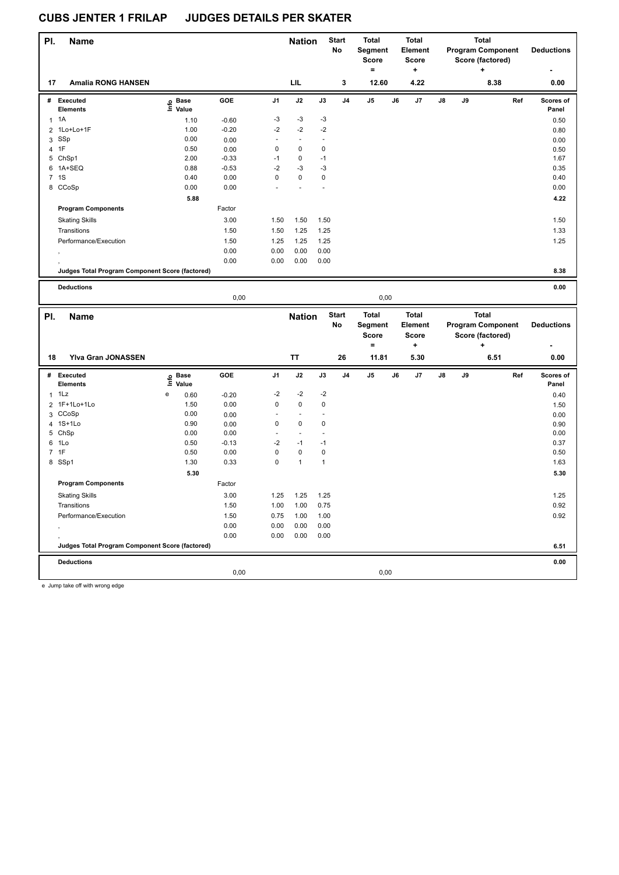| PI.            | <b>Name</b>                                     |   |                            |                 |                     | <b>Nation</b>            |               | <b>Start</b><br>No | Total<br>Segment         |    | <b>Total</b><br>Element |    |    | <b>Total</b><br><b>Program Component</b> |     | <b>Deductions</b> |
|----------------|-------------------------------------------------|---|----------------------------|-----------------|---------------------|--------------------------|---------------|--------------------|--------------------------|----|-------------------------|----|----|------------------------------------------|-----|-------------------|
|                |                                                 |   |                            |                 |                     |                          |               |                    | <b>Score</b><br>$\equiv$ |    | <b>Score</b><br>٠       |    |    | Score (factored)                         |     |                   |
| 17             | <b>Amalia RONG HANSEN</b>                       |   |                            |                 |                     | LIL                      |               | 3                  | 12.60                    |    | 4.22                    |    |    | 8.38                                     |     | 0.00              |
|                | # Executed                                      |   | e Base<br>E Value          | GOE             | J1                  | J2                       | $\mathsf{J3}$ | J4                 | J5                       | J6 | J7                      | J8 | J9 |                                          | Ref | Scores of         |
|                | <b>Elements</b>                                 |   |                            |                 |                     |                          |               |                    |                          |    |                         |    |    |                                          |     | Panel             |
|                | $1 \t1A$                                        |   | 1.10                       | $-0.60$         | -3                  | $-3$                     | $-3$          |                    |                          |    |                         |    |    |                                          |     | 0.50              |
| $\overline{2}$ | 1Lo+Lo+1F                                       |   | 1.00                       | $-0.20$         | $-2$                | $-2$                     | $-2$          |                    |                          |    |                         |    |    |                                          |     | 0.80              |
|                | 3 SSp                                           |   | 0.00                       | 0.00            | ä,                  | $\omega$                 | ÷,            |                    |                          |    |                         |    |    |                                          |     | 0.00              |
| 4              | 1F<br>5 ChSp1                                   |   | 0.50<br>2.00               | 0.00<br>$-0.33$ | $\mathbf 0$<br>$-1$ | 0<br>0                   | 0<br>$-1$     |                    |                          |    |                         |    |    |                                          |     | 0.50<br>1.67      |
|                | 6 1A+SEQ                                        |   | 0.88                       | $-0.53$         | $-2$                | $-3$                     | -3            |                    |                          |    |                         |    |    |                                          |     | 0.35              |
|                | 7 <sub>1S</sub>                                 |   | 0.40                       | 0.00            | $\mathbf 0$         | $\pmb{0}$                | $\pmb{0}$     |                    |                          |    |                         |    |    |                                          |     | 0.40              |
|                | 8 CCoSp                                         |   | 0.00                       | 0.00            |                     | ä,                       | ÷,            |                    |                          |    |                         |    |    |                                          |     | 0.00              |
|                |                                                 |   | 5.88                       |                 |                     |                          |               |                    |                          |    |                         |    |    |                                          |     | 4.22              |
|                | <b>Program Components</b>                       |   |                            | Factor          |                     |                          |               |                    |                          |    |                         |    |    |                                          |     |                   |
|                | <b>Skating Skills</b>                           |   |                            | 3.00            | 1.50                | 1.50                     | 1.50          |                    |                          |    |                         |    |    |                                          |     | 1.50              |
|                | Transitions                                     |   |                            | 1.50            | 1.50                | 1.25                     | 1.25          |                    |                          |    |                         |    |    |                                          |     | 1.33              |
|                | Performance/Execution                           |   |                            | 1.50            | 1.25                | 1.25                     | 1.25          |                    |                          |    |                         |    |    |                                          |     | 1.25              |
|                |                                                 |   |                            | 0.00            | 0.00                | 0.00                     | 0.00          |                    |                          |    |                         |    |    |                                          |     |                   |
|                |                                                 |   |                            | 0.00            | 0.00                | 0.00                     | 0.00          |                    |                          |    |                         |    |    |                                          |     |                   |
|                | Judges Total Program Component Score (factored) |   |                            |                 |                     |                          |               |                    |                          |    |                         |    |    |                                          |     | 8.38              |
|                |                                                 |   |                            |                 |                     |                          |               |                    |                          |    |                         |    |    |                                          |     |                   |
|                | <b>Deductions</b>                               |   |                            | 0,00            |                     |                          |               |                    |                          |    |                         |    |    |                                          |     | 0.00              |
|                |                                                 |   |                            |                 |                     |                          |               |                    |                          |    |                         |    |    |                                          |     |                   |
|                |                                                 |   |                            |                 |                     |                          |               |                    | 0,00                     |    |                         |    |    |                                          |     |                   |
| PI.            | <b>Name</b>                                     |   |                            |                 |                     | <b>Nation</b>            |               | <b>Start</b>       | <b>Total</b>             |    | <b>Total</b>            |    |    | <b>Total</b>                             |     |                   |
|                |                                                 |   |                            |                 |                     |                          |               | No                 | Segment                  |    | Element                 |    |    | <b>Program Component</b>                 |     | <b>Deductions</b> |
|                |                                                 |   |                            |                 |                     |                          |               |                    | <b>Score</b>             |    | <b>Score</b>            |    |    | Score (factored)                         |     |                   |
|                |                                                 |   |                            |                 |                     |                          |               |                    | $\equiv$                 |    | ٠                       |    |    | ٠                                        |     |                   |
| 18             | Yiva Gran JONASSEN                              |   |                            |                 |                     | TT                       |               | 26                 | 11.81                    |    | 5.30                    |    |    | 6.51                                     |     | 0.00              |
|                | # Executed                                      |   |                            | GOE             | J1                  | J2                       | J3            | J <sub>4</sub>     | J5                       | J6 | J7                      | J8 | J9 |                                          | Ref | Scores of         |
|                | <b>Elements</b>                                 |   | e Base<br>E Value<br>Value |                 |                     |                          |               |                    |                          |    |                         |    |    |                                          |     | Panel             |
|                | $1$ 1 Lz                                        | е | 0.60                       | $-0.20$         | $-2$                | $-2$                     | $-2$          |                    |                          |    |                         |    |    |                                          |     | 0.40              |
|                | 2 1F+1Lo+1Lo                                    |   | 1.50                       | 0.00            | $\mathbf 0$         | $\pmb{0}$                | 0             |                    |                          |    |                         |    |    |                                          |     | 1.50              |
|                | 3 CCoSp                                         |   | 0.00                       | 0.00            | ÷,                  | $\overline{\phantom{a}}$ | ÷,            |                    |                          |    |                         |    |    |                                          |     | 0.00              |
| 4              | $1S+1Lo$                                        |   | 0.90                       | 0.00            | $\mathbf 0$         | $\pmb{0}$                | 0             |                    |                          |    |                         |    |    |                                          |     | 0.90              |
|                | 5 ChSp                                          |   | 0.00                       | 0.00            | ä,                  | $\overline{\phantom{a}}$ | L,            |                    |                          |    |                         |    |    |                                          |     | 0.00              |
|                | 6 1Lo                                           |   | 0.50                       | $-0.13$         | $-2$                | $-1$                     | $-1$          |                    |                          |    |                         |    |    |                                          |     | 0.37              |
|                | 7 1F                                            |   | 0.50                       | 0.00            | $\pmb{0}$           | $\pmb{0}$                | 0             |                    |                          |    |                         |    |    |                                          |     | 0.50              |
|                | 8 SSp1                                          |   | 1.30                       | 0.33            | $\pmb{0}$           | $\mathbf{1}$             | $\mathbf{1}$  |                    |                          |    |                         |    |    |                                          |     | 1.63              |
|                | <b>Program Components</b>                       |   | 5.30                       | Factor          |                     |                          |               |                    |                          |    |                         |    |    |                                          |     | 5.30              |
|                |                                                 |   |                            |                 |                     |                          |               |                    |                          |    |                         |    |    |                                          |     |                   |
|                | <b>Skating Skills</b>                           |   |                            | 3.00            | 1.25                | 1.25                     | 1.25          |                    |                          |    |                         |    |    |                                          |     | 1.25              |
|                | Transitions                                     |   |                            | 1.50            | 1.00                | 1.00                     | 0.75          |                    |                          |    |                         |    |    |                                          |     | 0.92              |
|                | Performance/Execution                           |   |                            | 1.50            | 0.75                | 1.00                     | 1.00          |                    |                          |    |                         |    |    |                                          |     | 0.92              |
|                |                                                 |   |                            | 0.00            | 0.00                | 0.00                     | 0.00          |                    |                          |    |                         |    |    |                                          |     |                   |
|                | Judges Total Program Component Score (factored) |   |                            | 0.00            | 0.00                | 0.00                     | 0.00          |                    |                          |    |                         |    |    |                                          |     | 6.51              |
|                |                                                 |   |                            |                 |                     |                          |               |                    |                          |    |                         |    |    |                                          |     |                   |
|                | <b>Deductions</b>                               |   |                            | 0,00            |                     |                          |               |                    | 0,00                     |    |                         |    |    |                                          |     | 0.00              |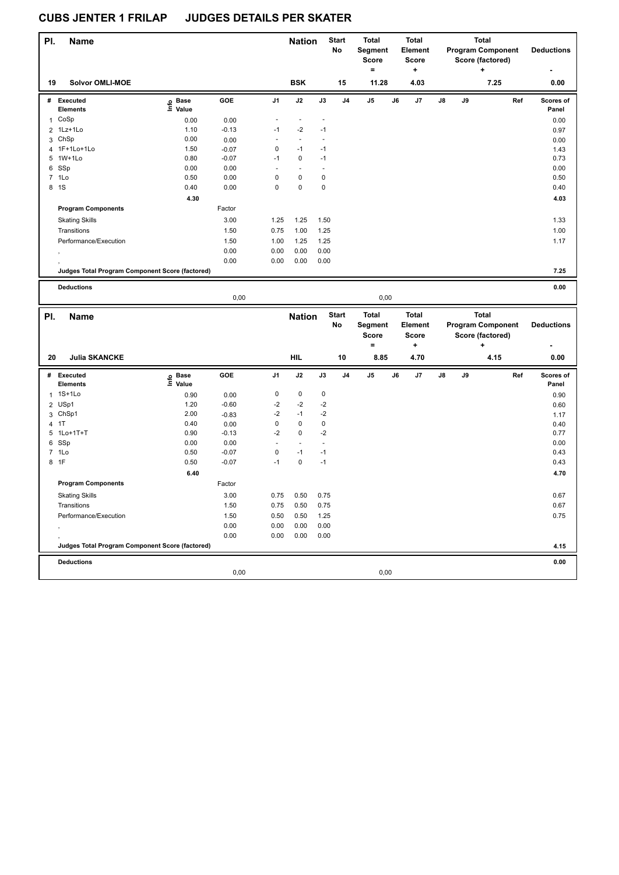| PI.          | <b>Name</b>                                     |                   |              |             | <b>Nation</b>  |                | <b>Start</b><br>No | Total<br>Segment<br><b>Score</b> |    | <b>Total</b><br><b>Element</b><br><b>Score</b> |    |    | <b>Total</b><br><b>Program Component</b><br>Score (factored) |     | <b>Deductions</b>  |
|--------------|-------------------------------------------------|-------------------|--------------|-------------|----------------|----------------|--------------------|----------------------------------|----|------------------------------------------------|----|----|--------------------------------------------------------------|-----|--------------------|
| 19           | <b>Solvor OMLI-MOE</b>                          |                   |              |             | <b>BSK</b>     |                | 15                 | $=$<br>11.28                     |    | ÷<br>4.03                                      |    |    | ٠<br>7.25                                                    |     | 0.00               |
|              |                                                 |                   |              |             |                |                |                    |                                  |    |                                                |    |    |                                                              |     |                    |
|              | # Executed<br><b>Elements</b>                   | e Base<br>E Value | GOE          | J1          | J2             | J3             | J <sub>4</sub>     | J5                               | J6 | J7                                             | J8 | J9 |                                                              | Ref | Scores of<br>Panel |
| $\mathbf{1}$ | CoSp                                            | 0.00              | 0.00         | L,          | $\overline{a}$ | $\blacksquare$ |                    |                                  |    |                                                |    |    |                                                              |     | 0.00               |
|              | 2 1Lz+1Lo                                       | 1.10              | $-0.13$      | $-1$        | $-2$           | $-1$           |                    |                                  |    |                                                |    |    |                                                              |     | 0.97               |
|              | 3 ChSp                                          | 0.00              | 0.00         | ä,          | $\blacksquare$ | L,             |                    |                                  |    |                                                |    |    |                                                              |     | 0.00               |
|              | 4 1F+1Lo+1Lo                                    | 1.50              | $-0.07$      | $\mathbf 0$ | $-1$           | $-1$           |                    |                                  |    |                                                |    |    |                                                              |     | 1.43               |
|              | 5 1W+1Lo                                        | 0.80              | $-0.07$      | $-1$        | $\mathbf 0$    | $-1$           |                    |                                  |    |                                                |    |    |                                                              |     | 0.73               |
|              | 6 SSp                                           | 0.00              | 0.00         | ÷,          | ÷,             | ÷,             |                    |                                  |    |                                                |    |    |                                                              |     | 0.00               |
|              | 7 1Lo                                           | 0.50              | 0.00         | 0           | 0              | $\pmb{0}$      |                    |                                  |    |                                                |    |    |                                                              |     | 0.50               |
|              | 8 1S                                            | 0.40              | 0.00         | $\mathbf 0$ | $\pmb{0}$      | $\pmb{0}$      |                    |                                  |    |                                                |    |    |                                                              |     | 0.40               |
|              |                                                 | 4.30              |              |             |                |                |                    |                                  |    |                                                |    |    |                                                              |     | 4.03               |
|              | <b>Program Components</b>                       |                   | Factor       |             |                |                |                    |                                  |    |                                                |    |    |                                                              |     |                    |
|              | <b>Skating Skills</b>                           |                   | 3.00         | 1.25        | 1.25           | 1.50           |                    |                                  |    |                                                |    |    |                                                              |     | 1.33               |
|              | Transitions                                     |                   | 1.50         | 0.75        | 1.00           | 1.25           |                    |                                  |    |                                                |    |    |                                                              |     | 1.00               |
|              | Performance/Execution                           |                   | 1.50         | 1.00        | 1.25           | 1.25           |                    |                                  |    |                                                |    |    |                                                              |     | 1.17               |
|              |                                                 |                   |              |             |                |                |                    |                                  |    |                                                |    |    |                                                              |     |                    |
|              |                                                 |                   | 0.00<br>0.00 | 0.00        | 0.00           | 0.00           |                    |                                  |    |                                                |    |    |                                                              |     |                    |
|              |                                                 |                   |              | 0.00        | 0.00           | 0.00           |                    |                                  |    |                                                |    |    |                                                              |     |                    |
|              | Judges Total Program Component Score (factored) |                   |              |             |                |                |                    |                                  |    |                                                |    |    |                                                              |     | 7.25               |
|              | <b>Deductions</b>                               |                   |              |             |                |                |                    |                                  |    |                                                |    |    |                                                              |     | 0.00               |
|              |                                                 |                   | 0,00         |             |                |                |                    | 0,00                             |    |                                                |    |    |                                                              |     |                    |
|              |                                                 |                   |              |             |                |                |                    |                                  |    |                                                |    |    |                                                              |     |                    |
|              |                                                 |                   |              |             |                |                |                    |                                  |    |                                                |    |    |                                                              |     |                    |
| PI.          | <b>Name</b>                                     |                   |              |             | <b>Nation</b>  |                | <b>Start</b>       | Total                            |    | <b>Total</b>                                   |    |    | <b>Total</b>                                                 |     |                    |
|              |                                                 |                   |              |             |                |                | No                 | Segment                          |    | Element                                        |    |    | <b>Program Component</b>                                     |     | <b>Deductions</b>  |
|              |                                                 |                   |              |             |                |                |                    | Score                            |    | <b>Score</b>                                   |    |    | Score (factored)                                             |     |                    |
|              |                                                 |                   |              |             |                |                |                    | $=$                              |    | +                                              |    |    | ٠                                                            |     |                    |
| 20           | <b>Julia SKANCKE</b>                            |                   |              |             | <b>HIL</b>     |                | 10                 | 8.85                             |    | 4.70                                           |    |    | 4.15                                                         |     | 0.00               |
|              | # Executed                                      |                   | GOE          | J1          | J2             | J3             | J4                 | J5                               | J6 | J7                                             | J8 | J9 |                                                              | Ref | Scores of          |
|              | <b>Elements</b>                                 | e Base<br>E Value |              |             |                |                |                    |                                  |    |                                                |    |    |                                                              |     | Panel              |
| $\mathbf{1}$ | 1S+1Lo                                          | 0.90              | 0.00         | $\pmb{0}$   | $\mathbf 0$    | $\pmb{0}$      |                    |                                  |    |                                                |    |    |                                                              |     | 0.90               |
|              | 2 USp1                                          | 1.20              | $-0.60$      | $-2$        | $-2$           | $-2$           |                    |                                  |    |                                                |    |    |                                                              |     | 0.60               |
|              | 3 ChSp1                                         | 2.00              | $-0.83$      | $-2$        | $-1$           | $-2$           |                    |                                  |    |                                                |    |    |                                                              |     | 1.17               |
|              | 4 1T                                            | 0.40              | 0.00         | $\pmb{0}$   | 0              | $\pmb{0}$      |                    |                                  |    |                                                |    |    |                                                              |     | 0.40               |
|              | 5 1Lo+1T+T                                      | 0.90              | $-0.13$      | $-2$        | 0              | $-2$           |                    |                                  |    |                                                |    |    |                                                              |     | 0.77               |
|              | 6 SSp                                           | 0.00              | 0.00         | ÷.          | ä,             | ä,             |                    |                                  |    |                                                |    |    |                                                              |     | 0.00               |
|              | 7 1Lo                                           | 0.50              | $-0.07$      | $\pmb{0}$   | $-1$           | $-1$           |                    |                                  |    |                                                |    |    |                                                              |     | 0.43               |
|              | 8 1F                                            | 0.50              | $-0.07$      | $-1$        | $\pmb{0}$      | $-1$           |                    |                                  |    |                                                |    |    |                                                              |     | 0.43               |
|              |                                                 | 6.40              |              |             |                |                |                    |                                  |    |                                                |    |    |                                                              |     | 4.70               |
|              | <b>Program Components</b>                       |                   | Factor       |             |                |                |                    |                                  |    |                                                |    |    |                                                              |     |                    |
|              |                                                 |                   |              |             |                |                |                    |                                  |    |                                                |    |    |                                                              |     |                    |
|              | <b>Skating Skills</b>                           |                   | 3.00         | 0.75        | 0.50           | 0.75           |                    |                                  |    |                                                |    |    |                                                              |     | 0.67               |
|              | Transitions                                     |                   | 1.50         | 0.75        | 0.50           | 0.75           |                    |                                  |    |                                                |    |    |                                                              |     | 0.67               |
|              | Performance/Execution                           |                   | 1.50         | 0.50        | 0.50           | 1.25           |                    |                                  |    |                                                |    |    |                                                              |     | 0.75               |
|              |                                                 |                   | 0.00         | 0.00        | 0.00           | 0.00           |                    |                                  |    |                                                |    |    |                                                              |     |                    |
|              |                                                 |                   | 0.00         | 0.00        | 0.00           | 0.00           |                    |                                  |    |                                                |    |    |                                                              |     |                    |
|              | Judges Total Program Component Score (factored) |                   |              |             |                |                |                    |                                  |    |                                                |    |    |                                                              |     | 4.15               |
|              | <b>Deductions</b>                               |                   |              |             |                |                |                    |                                  |    |                                                |    |    |                                                              |     | 0.00               |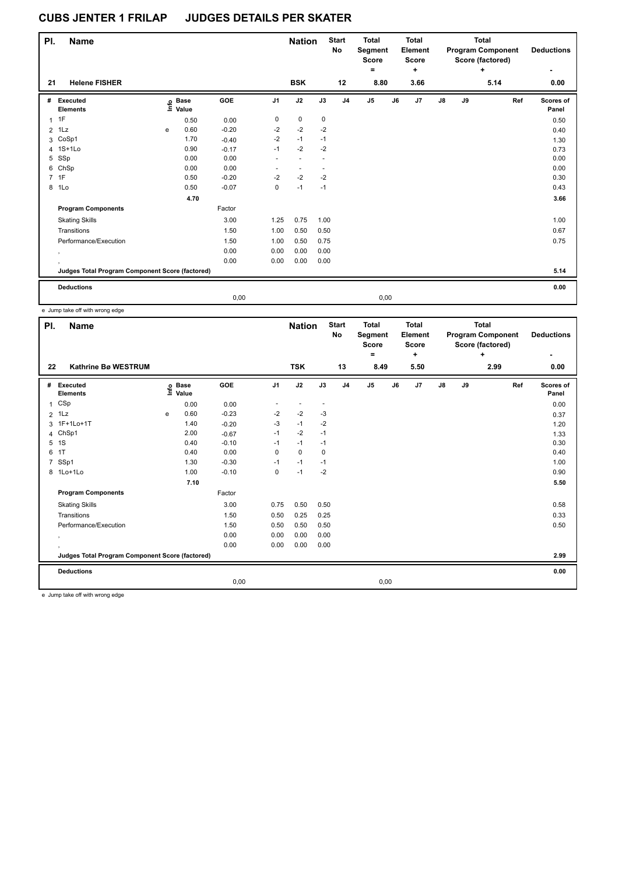| PI.            | <b>Name</b>                                     |   |                            |         |                | <b>Nation</b> |      | <b>Start</b><br>No | <b>Total</b><br>Segment<br><b>Score</b><br>$\equiv$ |      | <b>Total</b><br>Element<br><b>Score</b><br>$\ddot{}$ |               |    | Total<br><b>Program Component</b><br>Score (factored)<br>÷ | <b>Deductions</b>  |
|----------------|-------------------------------------------------|---|----------------------------|---------|----------------|---------------|------|--------------------|-----------------------------------------------------|------|------------------------------------------------------|---------------|----|------------------------------------------------------------|--------------------|
| 21             | <b>Helene FISHER</b>                            |   |                            |         |                | <b>BSK</b>    |      | 12                 | 8.80                                                |      | 3.66                                                 |               |    | 5.14                                                       | 0.00               |
| #              | Executed<br><b>Elements</b>                     |   | e Base<br>E Value<br>Value | GOE     | J <sub>1</sub> | J2            | J3   | J <sub>4</sub>     | $\mathsf{J}5$                                       | J6   | J <sub>7</sub>                                       | $\mathsf{J}8$ | J9 | Ref                                                        | Scores of<br>Panel |
| $\mathbf{1}$   | 1F                                              |   | 0.50                       | 0.00    | 0              | $\mathbf 0$   | 0    |                    |                                                     |      |                                                      |               |    |                                                            | 0.50               |
| $\overline{2}$ | 1Lz                                             | e | 0.60                       | $-0.20$ | $-2$           | $-2$          | $-2$ |                    |                                                     |      |                                                      |               |    |                                                            | 0.40               |
| 3              | CoSp1                                           |   | 1.70                       | $-0.40$ | $-2$           | $-1$          | $-1$ |                    |                                                     |      |                                                      |               |    |                                                            | 1.30               |
|                | 4 1S+1Lo                                        |   | 0.90                       | $-0.17$ | $-1$           | $-2$          | $-2$ |                    |                                                     |      |                                                      |               |    |                                                            | 0.73               |
| 5              | SSp                                             |   | 0.00                       | 0.00    | $\sim$         |               |      |                    |                                                     |      |                                                      |               |    |                                                            | 0.00               |
| 6              | ChSp                                            |   | 0.00                       | 0.00    |                |               |      |                    |                                                     |      |                                                      |               |    |                                                            | 0.00               |
|                | 7 1F                                            |   | 0.50                       | $-0.20$ | $-2$           | $-2$          | $-2$ |                    |                                                     |      |                                                      |               |    |                                                            | 0.30               |
| 8              | 1Lo                                             |   | 0.50                       | $-0.07$ | 0              | $-1$          | $-1$ |                    |                                                     |      |                                                      |               |    |                                                            | 0.43               |
|                |                                                 |   | 4.70                       |         |                |               |      |                    |                                                     |      |                                                      |               |    |                                                            | 3.66               |
|                | <b>Program Components</b>                       |   |                            | Factor  |                |               |      |                    |                                                     |      |                                                      |               |    |                                                            |                    |
|                | <b>Skating Skills</b>                           |   |                            | 3.00    | 1.25           | 0.75          | 1.00 |                    |                                                     |      |                                                      |               |    |                                                            | 1.00               |
|                | Transitions                                     |   |                            | 1.50    | 1.00           | 0.50          | 0.50 |                    |                                                     |      |                                                      |               |    |                                                            | 0.67               |
|                | Performance/Execution                           |   |                            | 1.50    | 1.00           | 0.50          | 0.75 |                    |                                                     |      |                                                      |               |    |                                                            | 0.75               |
|                | $\cdot$                                         |   |                            | 0.00    | 0.00           | 0.00          | 0.00 |                    |                                                     |      |                                                      |               |    |                                                            |                    |
|                |                                                 |   |                            | 0.00    | 0.00           | 0.00          | 0.00 |                    |                                                     |      |                                                      |               |    |                                                            |                    |
|                | Judges Total Program Component Score (factored) |   |                            |         |                |               |      |                    |                                                     |      |                                                      |               |    |                                                            | 5.14               |
|                | <b>Deductions</b>                               |   |                            |         |                |               |      |                    |                                                     |      |                                                      |               |    |                                                            | 0.00               |
|                |                                                 |   |                            | 0,00    |                |               |      |                    |                                                     | 0,00 |                                                      |               |    |                                                            |                    |

e Jump take off with wrong edge

| PI.          | <b>Name</b>                                     |      |                      |         |                | <b>Nation</b> |                          | <b>Start</b><br>No | <b>Total</b><br>Segment<br><b>Score</b><br>٠ |      | Total<br>Element<br><b>Score</b><br>÷ |               |    | <b>Total</b><br><b>Program Component</b><br>Score (factored)<br>÷ | <b>Deductions</b>  |
|--------------|-------------------------------------------------|------|----------------------|---------|----------------|---------------|--------------------------|--------------------|----------------------------------------------|------|---------------------------------------|---------------|----|-------------------------------------------------------------------|--------------------|
| 22           | Kathrine Bø WESTRUM                             |      |                      |         |                | <b>TSK</b>    |                          | 13                 | 8.49                                         |      | 5.50                                  |               |    | 2.99                                                              | 0.00               |
| #            | Executed<br><b>Elements</b>                     | lnfo | <b>Base</b><br>Value | GOE     | J <sub>1</sub> | J2            | J3                       | J <sub>4</sub>     | J <sub>5</sub>                               | J6   | J7                                    | $\mathsf{J}8$ | J9 | Ref                                                               | Scores of<br>Panel |
| $\mathbf{1}$ | CSp                                             |      | 0.00                 | 0.00    |                |               | $\overline{\phantom{a}}$ |                    |                                              |      |                                       |               |    |                                                                   | 0.00               |
|              | $2$ 1 Lz                                        | e    | 0.60                 | $-0.23$ | $-2$           | $-2$          | $-3$                     |                    |                                              |      |                                       |               |    |                                                                   | 0.37               |
|              | 3 1F+1Lo+1T                                     |      | 1.40                 | $-0.20$ | $-3$           | $-1$          | $-2$                     |                    |                                              |      |                                       |               |    |                                                                   | 1.20               |
| 4            | ChSp1                                           |      | 2.00                 | $-0.67$ | $-1$           | $-2$          | $-1$                     |                    |                                              |      |                                       |               |    |                                                                   | 1.33               |
| 5            | 1S                                              |      | 0.40                 | $-0.10$ | $-1$           | $-1$          | $-1$                     |                    |                                              |      |                                       |               |    |                                                                   | 0.30               |
| 6            | 1T                                              |      | 0.40                 | 0.00    | 0              | 0             | 0                        |                    |                                              |      |                                       |               |    |                                                                   | 0.40               |
| 7            | SSp1                                            |      | 1.30                 | $-0.30$ | $-1$           | $-1$          | $-1$                     |                    |                                              |      |                                       |               |    |                                                                   | 1.00               |
|              | 8 1Lo+1Lo                                       |      | 1.00                 | $-0.10$ | 0              | $-1$          | $-2$                     |                    |                                              |      |                                       |               |    |                                                                   | 0.90               |
|              |                                                 |      | 7.10                 |         |                |               |                          |                    |                                              |      |                                       |               |    |                                                                   | 5.50               |
|              | <b>Program Components</b>                       |      |                      | Factor  |                |               |                          |                    |                                              |      |                                       |               |    |                                                                   |                    |
|              | <b>Skating Skills</b>                           |      |                      | 3.00    | 0.75           | 0.50          | 0.50                     |                    |                                              |      |                                       |               |    |                                                                   | 0.58               |
|              | Transitions                                     |      |                      | 1.50    | 0.50           | 0.25          | 0.25                     |                    |                                              |      |                                       |               |    |                                                                   | 0.33               |
|              | Performance/Execution                           |      |                      | 1.50    | 0.50           | 0.50          | 0.50                     |                    |                                              |      |                                       |               |    |                                                                   | 0.50               |
|              |                                                 |      |                      | 0.00    | 0.00           | 0.00          | 0.00                     |                    |                                              |      |                                       |               |    |                                                                   |                    |
|              | $\,$                                            |      |                      | 0.00    | 0.00           | 0.00          | 0.00                     |                    |                                              |      |                                       |               |    |                                                                   |                    |
|              | Judges Total Program Component Score (factored) |      |                      |         |                |               |                          |                    |                                              |      |                                       |               |    |                                                                   | 2.99               |
|              | <b>Deductions</b>                               |      |                      |         |                |               |                          |                    |                                              |      |                                       |               |    |                                                                   | 0.00               |
|              |                                                 |      |                      | 0,00    |                |               |                          |                    |                                              | 0,00 |                                       |               |    |                                                                   |                    |